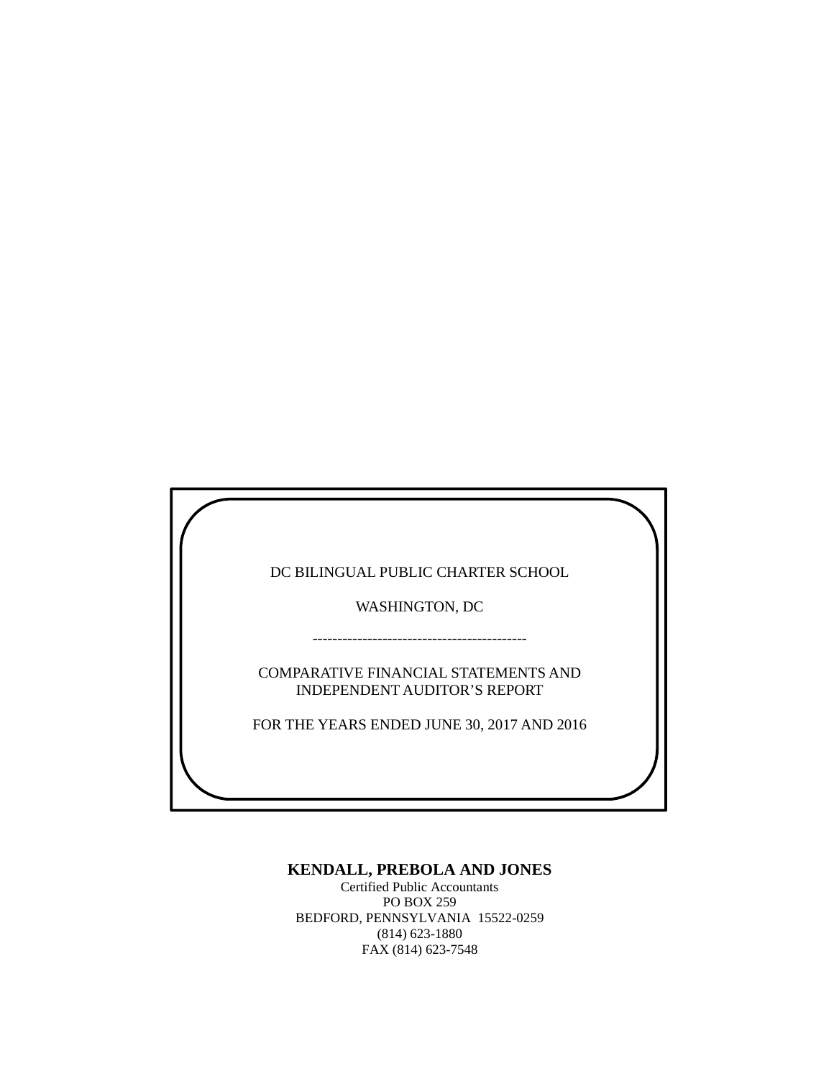DC BILINGUAL PUBLIC CHARTER SCHOOL

WASHINGTON, DC

COMPARATIVE FINANCIAL STATEMENTS AND INDEPENDENT AUDITOR'S REPORT

-------------------------------------------

FOR THE YEARS ENDED JUNE 30, 2017 AND 2016

# **KENDALL, PREBOLA AND JONES**

Certified Public Accountants PO BOX 259 BEDFORD, PENNSYLVANIA 15522-0259 (814) 623-1880 FAX (814) 623-7548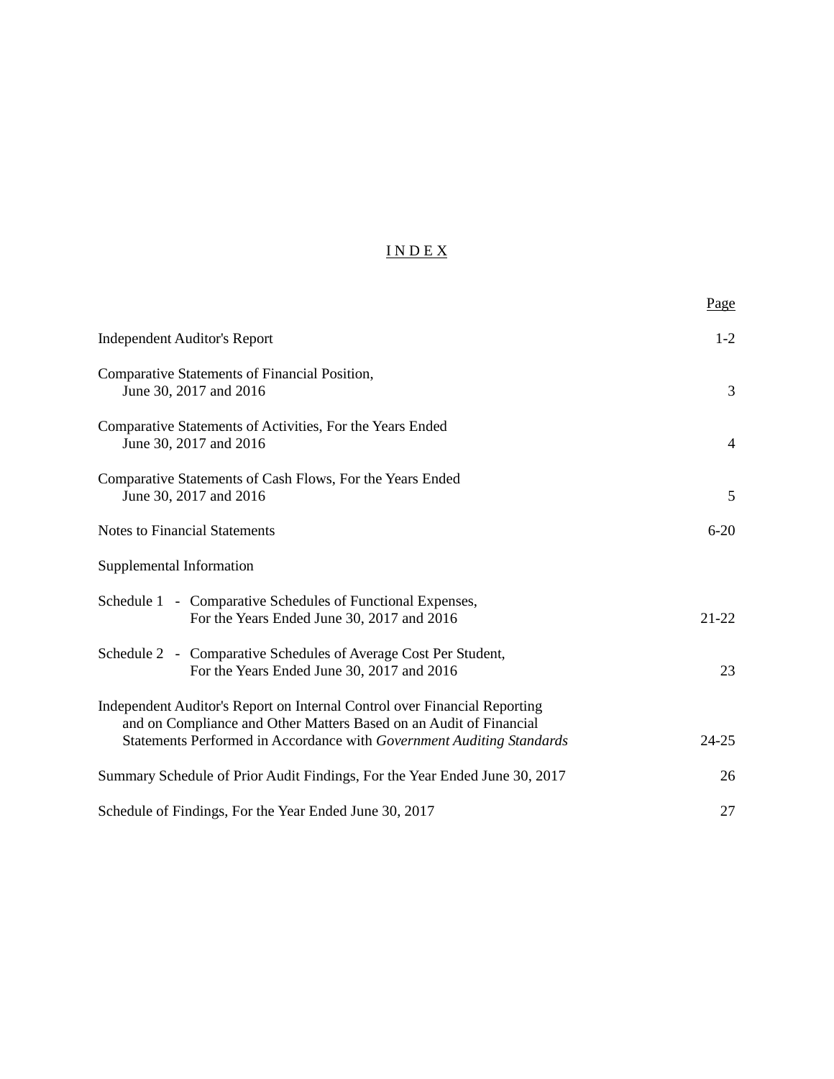# I N D E X

|                                                                                                                                                                                                                          | Page           |
|--------------------------------------------------------------------------------------------------------------------------------------------------------------------------------------------------------------------------|----------------|
| <b>Independent Auditor's Report</b>                                                                                                                                                                                      | $1-2$          |
| Comparative Statements of Financial Position,<br>June 30, 2017 and 2016                                                                                                                                                  | 3              |
| Comparative Statements of Activities, For the Years Ended<br>June 30, 2017 and 2016                                                                                                                                      | $\overline{4}$ |
| Comparative Statements of Cash Flows, For the Years Ended<br>June 30, 2017 and 2016                                                                                                                                      | 5              |
| <b>Notes to Financial Statements</b>                                                                                                                                                                                     | $6 - 20$       |
| Supplemental Information                                                                                                                                                                                                 |                |
| Schedule 1 - Comparative Schedules of Functional Expenses,<br>For the Years Ended June 30, 2017 and 2016                                                                                                                 | $21 - 22$      |
| Schedule 2 - Comparative Schedules of Average Cost Per Student,<br>For the Years Ended June 30, 2017 and 2016                                                                                                            | 23             |
| Independent Auditor's Report on Internal Control over Financial Reporting<br>and on Compliance and Other Matters Based on an Audit of Financial<br>Statements Performed in Accordance with Government Auditing Standards | $24 - 25$      |
| Summary Schedule of Prior Audit Findings, For the Year Ended June 30, 2017                                                                                                                                               | 26             |
| Schedule of Findings, For the Year Ended June 30, 2017                                                                                                                                                                   | 27             |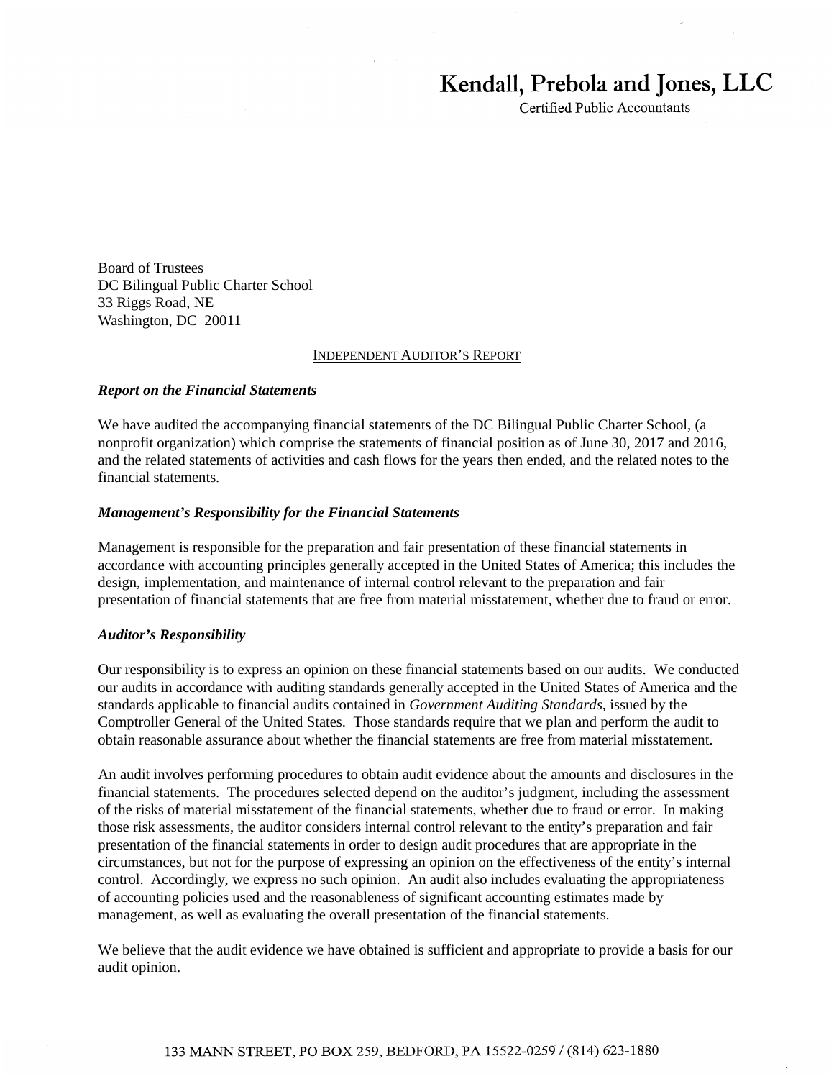# Kendall, Prebola and Jones, LLC

Certified Public Accountants

Board of Trustees DC Bilingual Public Charter School 33 Riggs Road, NE Washington, DC 20011

#### INDEPENDENT AUDITOR'S REPORT

#### *Report on the Financial Statements*

We have audited the accompanying financial statements of the DC Bilingual Public Charter School, (a nonprofit organization) which comprise the statements of financial position as of June 30, 2017 and 2016, and the related statements of activities and cash flows for the years then ended, and the related notes to the financial statements.

#### *Management's Responsibility for the Financial Statements*

Management is responsible for the preparation and fair presentation of these financial statements in accordance with accounting principles generally accepted in the United States of America; this includes the design, implementation, and maintenance of internal control relevant to the preparation and fair presentation of financial statements that are free from material misstatement, whether due to fraud or error.

#### *Auditor's Responsibility*

Our responsibility is to express an opinion on these financial statements based on our audits. We conducted our audits in accordance with auditing standards generally accepted in the United States of America and the standards applicable to financial audits contained in *Government Auditing Standards*, issued by the Comptroller General of the United States. Those standards require that we plan and perform the audit to obtain reasonable assurance about whether the financial statements are free from material misstatement.

An audit involves performing procedures to obtain audit evidence about the amounts and disclosures in the financial statements. The procedures selected depend on the auditor's judgment, including the assessment of the risks of material misstatement of the financial statements, whether due to fraud or error. In making those risk assessments, the auditor considers internal control relevant to the entity's preparation and fair presentation of the financial statements in order to design audit procedures that are appropriate in the circumstances, but not for the purpose of expressing an opinion on the effectiveness of the entity's internal control. Accordingly, we express no such opinion. An audit also includes evaluating the appropriateness of accounting policies used and the reasonableness of significant accounting estimates made by management, as well as evaluating the overall presentation of the financial statements.

We believe that the audit evidence we have obtained is sufficient and appropriate to provide a basis for our audit opinion.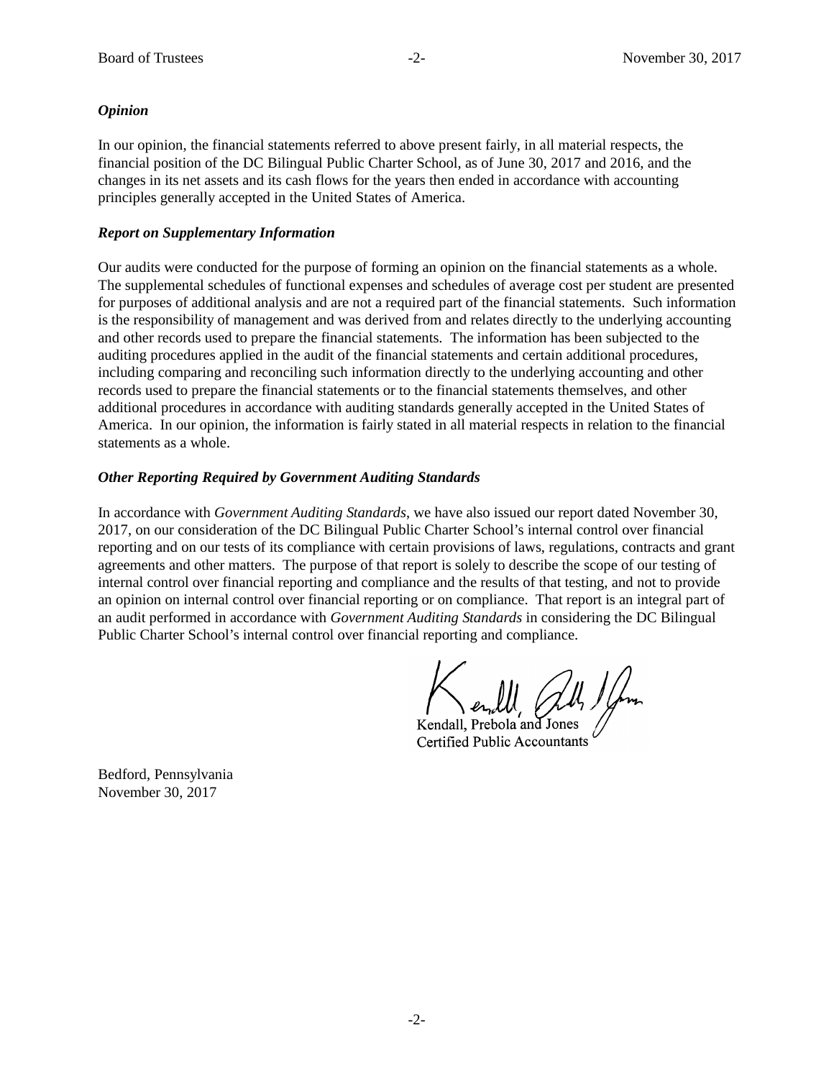### *Opinion*

In our opinion, the financial statements referred to above present fairly, in all material respects, the financial position of the DC Bilingual Public Charter School, as of June 30, 2017 and 2016, and the changes in its net assets and its cash flows for the years then ended in accordance with accounting principles generally accepted in the United States of America.

# *Report on Supplementary Information*

Our audits were conducted for the purpose of forming an opinion on the financial statements as a whole. The supplemental schedules of functional expenses and schedules of average cost per student are presented for purposes of additional analysis and are not a required part of the financial statements. Such information is the responsibility of management and was derived from and relates directly to the underlying accounting and other records used to prepare the financial statements. The information has been subjected to the auditing procedures applied in the audit of the financial statements and certain additional procedures, including comparing and reconciling such information directly to the underlying accounting and other records used to prepare the financial statements or to the financial statements themselves, and other additional procedures in accordance with auditing standards generally accepted in the United States of America. In our opinion, the information is fairly stated in all material respects in relation to the financial statements as a whole.

# *Other Reporting Required by Government Auditing Standards*

In accordance with *Government Auditing Standards*, we have also issued our report dated November 30, 2017, on our consideration of the DC Bilingual Public Charter School's internal control over financial reporting and on our tests of its compliance with certain provisions of laws, regulations, contracts and grant agreements and other matters. The purpose of that report is solely to describe the scope of our testing of internal control over financial reporting and compliance and the results of that testing, and not to provide an opinion on internal control over financial reporting or on compliance. That report is an integral part of an audit performed in accordance with *Government Auditing Standards* in considering the DC Bilingual Public Charter School's internal control over financial reporting and compliance.

Kendall, Prebola and Jones Certified Public Accountants

Bedford, Pennsylvania November 30, 2017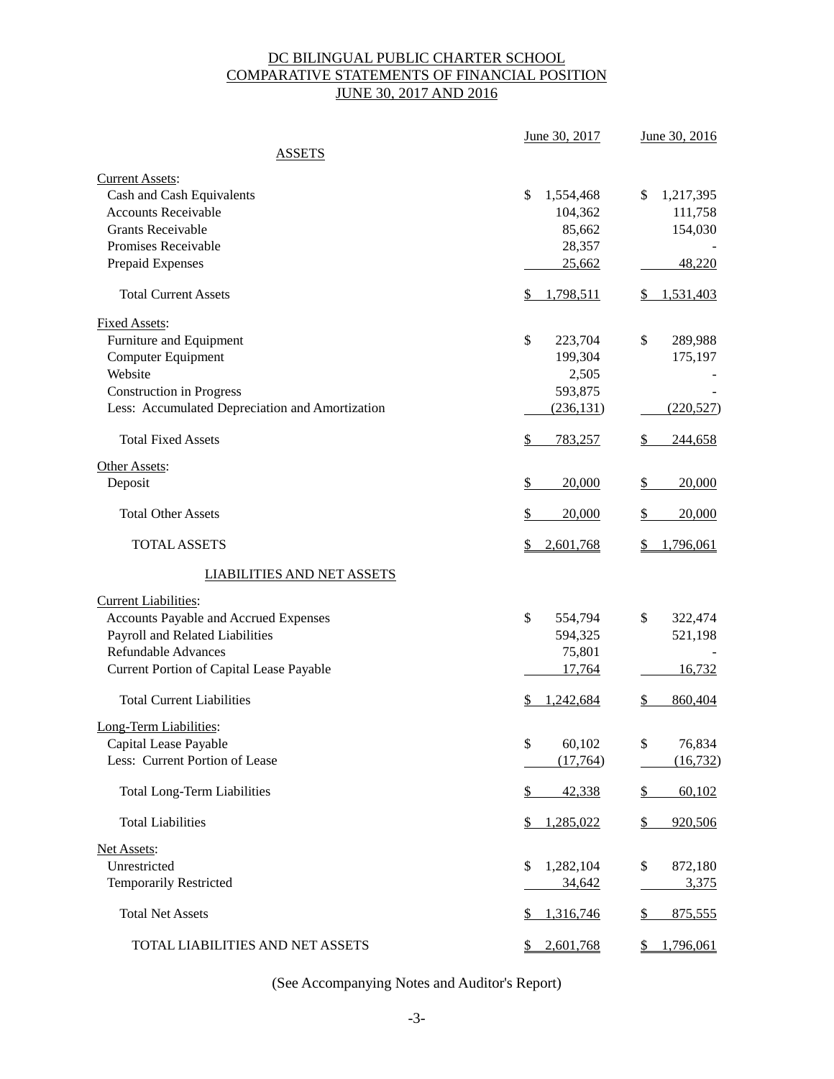### DC BILINGUAL PUBLIC CHARTER SCHOOL COMPARATIVE STATEMENTS OF FINANCIAL POSITION JUNE 30, 2017 AND 2016

|                                                 | June 30, 2017   | June 30, 2016   |
|-------------------------------------------------|-----------------|-----------------|
| <b>ASSETS</b>                                   |                 |                 |
| <b>Current Assets:</b>                          |                 |                 |
| Cash and Cash Equivalents                       | \$<br>1,554,468 | \$<br>1,217,395 |
| <b>Accounts Receivable</b>                      | 104,362         | 111,758         |
| <b>Grants Receivable</b>                        | 85,662          | 154,030         |
| Promises Receivable                             | 28,357          |                 |
| Prepaid Expenses                                | 25,662          | 48,220          |
| <b>Total Current Assets</b>                     | 1,798,511       | 1,531,403       |
| <b>Fixed Assets:</b>                            |                 |                 |
| Furniture and Equipment                         | \$<br>223,704   | \$<br>289,988   |
| Computer Equipment                              | 199,304         | 175,197         |
| Website                                         | 2,505           |                 |
| <b>Construction in Progress</b>                 | 593,875         |                 |
| Less: Accumulated Depreciation and Amortization | (236, 131)      | (220, 527)      |
| <b>Total Fixed Assets</b>                       | 783,257<br>S    | 244,658<br>S    |
| Other Assets:                                   |                 |                 |
| Deposit                                         | \$<br>20,000    | \$<br>20,000    |
| <b>Total Other Assets</b>                       | \$<br>20,000    | \$<br>20,000    |
| <b>TOTAL ASSETS</b>                             | 2,601,768       | 1,796,061       |
| <b>LIABILITIES AND NET ASSETS</b>               |                 |                 |
| <b>Current Liabilities:</b>                     |                 |                 |
| Accounts Payable and Accrued Expenses           | \$<br>554,794   | \$<br>322,474   |
| Payroll and Related Liabilities                 | 594,325         | 521,198         |
| <b>Refundable Advances</b>                      | 75,801          |                 |
| Current Portion of Capital Lease Payable        | 17,764          | 16,732          |
|                                                 |                 |                 |
| <b>Total Current Liabilities</b>                | 1,242,684<br>\$ | \$<br>860,404   |
| Long-Term Liabilities:                          |                 |                 |
| Capital Lease Payable                           | 60,102<br>\$    | \$<br>76,834    |
| Less: Current Portion of Lease                  | (17,764)        | (16, 732)       |
| <b>Total Long-Term Liabilities</b>              | 42,338<br>\$    | \$<br>60,102    |
| <b>Total Liabilities</b>                        | 1,285,022<br>\$ | \$<br>920,506   |
| Net Assets:                                     |                 |                 |
| Unrestricted                                    | \$<br>1,282,104 | \$<br>872,180   |
| <b>Temporarily Restricted</b>                   | 34,642          | 3,375           |
| <b>Total Net Assets</b>                         | 1,316,746<br>\$ | \$<br>875,555   |
| TOTAL LIABILITIES AND NET ASSETS                | 2,601,768<br>S. | \$1,796,061     |
|                                                 |                 |                 |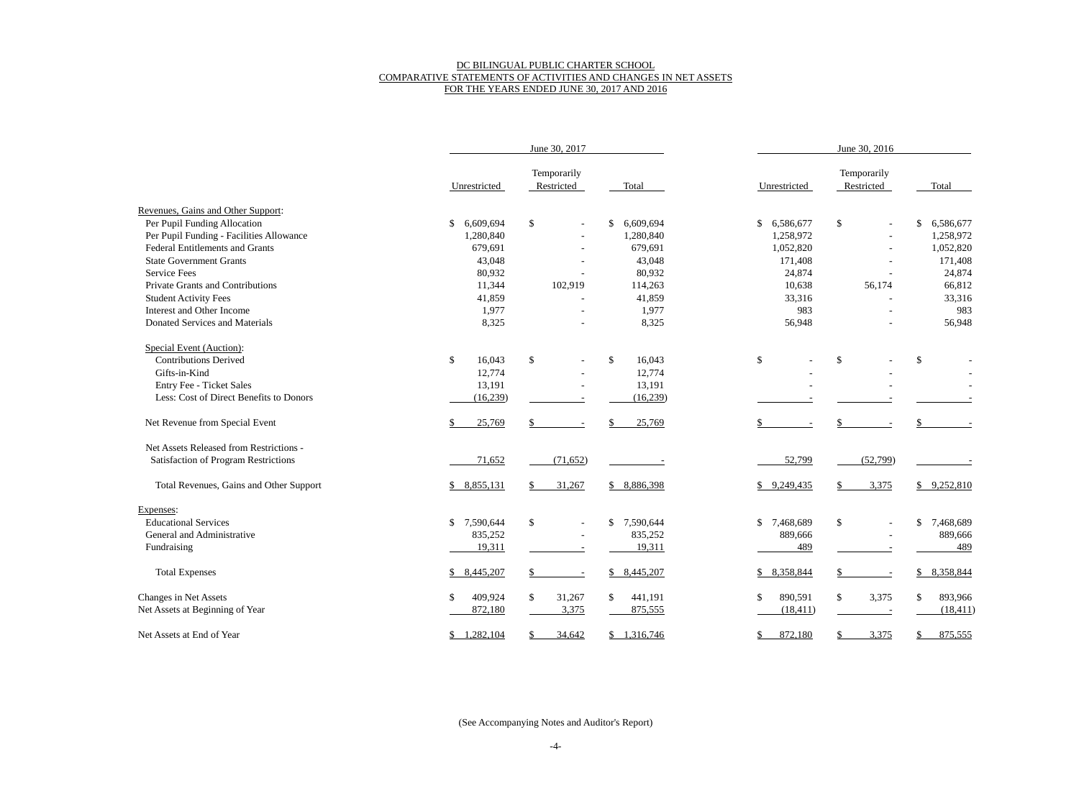#### DC BILINGUAL PUBLIC CHARTER SCHOOL COMPARATIVE STATEMENTS OF ACTIVITIES AND CHANGES IN NET ASSETS FOR THE YEARS ENDED JUNE 30, 2017 AND 2016

|                                          | June 30, 2017          |                                     |                        | June 30, 2016              |                           |                           |  |
|------------------------------------------|------------------------|-------------------------------------|------------------------|----------------------------|---------------------------|---------------------------|--|
|                                          | Unrestricted           | Temporarily<br>Restricted           | Total                  | Unrestricted               | Temporarily<br>Restricted | Total                     |  |
| Revenues, Gains and Other Support:       |                        |                                     |                        |                            |                           |                           |  |
| Per Pupil Funding Allocation             | \$<br>6,609,694        | \$                                  | \$<br>6,609,694        | $\mathcal{S}$<br>6,586,677 | \$                        | $\mathbb{S}$<br>6,586,677 |  |
| Per Pupil Funding - Facilities Allowance | 1,280,840              |                                     | 1,280,840              | 1,258,972                  | $\sim$                    | 1,258,972                 |  |
| <b>Federal Entitlements and Grants</b>   | 679,691                |                                     | 679,691                | 1,052,820                  | $\sim$                    | 1,052,820                 |  |
| <b>State Government Grants</b>           | 43,048                 |                                     | 43,048                 | 171,408                    |                           | 171,408                   |  |
| <b>Service Fees</b>                      | 80,932                 |                                     | 80,932                 | 24,874                     | $\overline{a}$            | 24,874                    |  |
| Private Grants and Contributions         | 11,344                 | 102,919                             | 114,263                | 10,638                     | 56,174                    | 66,812                    |  |
| <b>Student Activity Fees</b>             | 41,859                 |                                     | 41,859                 | 33,316                     | $\sim$                    | 33,316                    |  |
| Interest and Other Income                | 1,977                  |                                     | 1,977                  | 983                        | $\sim$                    | 983                       |  |
| Donated Services and Materials           | 8,325                  |                                     | 8,325                  | 56,948                     |                           | 56,948                    |  |
| Special Event (Auction):                 |                        |                                     |                        |                            |                           |                           |  |
| <b>Contributions Derived</b>             | $\mathbb{S}$<br>16,043 | $\mathsf{\$}$                       | $\mathbb{S}$<br>16,043 | $\mathcal{S}$              | $\mathcal{S}$             | $\mathcal{S}$             |  |
| Gifts-in-Kind                            | 12,774                 |                                     | 12,774                 |                            |                           |                           |  |
| Entry Fee - Ticket Sales                 | 13,191                 |                                     | 13,191                 |                            |                           |                           |  |
| Less: Cost of Direct Benefits to Donors  | (16, 239)              |                                     | (16, 239)              |                            |                           |                           |  |
| Net Revenue from Special Event           | 25,769                 |                                     | 25,769                 |                            |                           |                           |  |
| Net Assets Released from Restrictions -  |                        |                                     |                        |                            |                           |                           |  |
| Satisfaction of Program Restrictions     | 71,652                 | (71, 652)                           |                        | 52,799                     | (52, 799)                 |                           |  |
| Total Revenues, Gains and Other Support  | \$8,855,131            | 31,267<br>S.                        | \$8,886,398            | \$9,249,435                | 3,375<br>S.               | \$9,252,810               |  |
| Expenses:                                |                        |                                     |                        |                            |                           |                           |  |
| <b>Educational Services</b>              | 7,590,644<br>\$        | $\boldsymbol{\mathsf{S}}$           | 7,590,644<br>\$        | \$<br>7,468,689            | $\mathbb{S}$              | \$<br>7,468,689           |  |
| General and Administrative               | 835,252                |                                     | 835,252                | 889,666                    |                           | 889,666                   |  |
| Fundraising                              | 19,311                 |                                     | 19,311                 | 489                        | $\overline{a}$            | 489                       |  |
| <b>Total Expenses</b>                    | \$8,445,207            |                                     | 8,445,207<br>\$        | 8,358,844<br>\$            |                           | \$<br>8,358,844           |  |
| Changes in Net Assets                    | 409,924<br>\$          | $\boldsymbol{\mathsf{S}}$<br>31,267 | 441,191<br>\$          | \$<br>890,591              | 3,375<br>\$               | 893,966<br>\$             |  |
| Net Assets at Beginning of Year          | 872,180                | 3,375                               | 875,555                | (18, 411)                  |                           | (18, 411)                 |  |
| Net Assets at End of Year                | 1,282,104              | 34,642                              | \$1,316,746            | 872,180<br>\$              | 3,375                     | 875,555                   |  |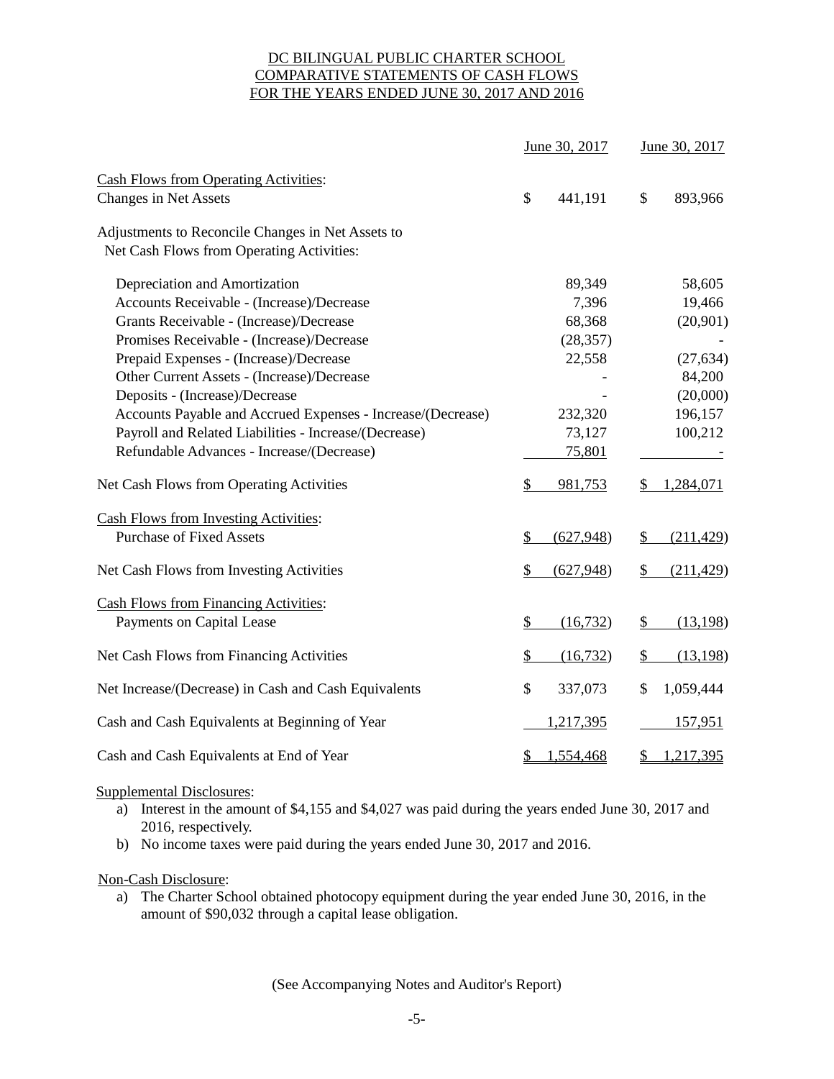### DC BILINGUAL PUBLIC CHARTER SCHOOL COMPARATIVE STATEMENTS OF CASH FLOWS FOR THE YEARS ENDED JUNE 30, 2017 AND 2016

|                                                             | June 30, 2017 |           | June 30, 2017 |            |
|-------------------------------------------------------------|---------------|-----------|---------------|------------|
| <b>Cash Flows from Operating Activities:</b>                |               |           |               |            |
| <b>Changes in Net Assets</b>                                | \$            | 441,191   | \$            | 893,966    |
| Adjustments to Reconcile Changes in Net Assets to           |               |           |               |            |
| Net Cash Flows from Operating Activities:                   |               |           |               |            |
| Depreciation and Amortization                               |               | 89,349    |               | 58,605     |
| Accounts Receivable - (Increase)/Decrease                   |               | 7,396     |               | 19,466     |
| Grants Receivable - (Increase)/Decrease                     |               | 68,368    |               | (20, 901)  |
| Promises Receivable - (Increase)/Decrease                   |               | (28, 357) |               |            |
| Prepaid Expenses - (Increase)/Decrease                      |               | 22,558    |               | (27, 634)  |
| Other Current Assets - (Increase)/Decrease                  |               |           |               | 84,200     |
| Deposits - (Increase)/Decrease                              |               |           |               | (20,000)   |
| Accounts Payable and Accrued Expenses - Increase/(Decrease) |               | 232,320   |               | 196,157    |
| Payroll and Related Liabilities - Increase/(Decrease)       |               | 73,127    |               | 100,212    |
| Refundable Advances - Increase/(Decrease)                   |               | 75,801    |               |            |
| Net Cash Flows from Operating Activities                    | S             | 981,753   | \$            | 1,284,071  |
| <b>Cash Flows from Investing Activities:</b>                |               |           |               |            |
| <b>Purchase of Fixed Assets</b>                             | \$            | (627,948) | \$            | (211, 429) |
| Net Cash Flows from Investing Activities                    | \$            | (627,948) | \$            | (211, 429) |
| <b>Cash Flows from Financing Activities:</b>                |               |           |               |            |
| Payments on Capital Lease                                   | \$            | (16, 732) | \$            | (13, 198)  |
| Net Cash Flows from Financing Activities                    | \$            | (16, 732) | \$            | (13, 198)  |
| Net Increase/(Decrease) in Cash and Cash Equivalents        | \$            | 337,073   | \$            | 1,059,444  |
| Cash and Cash Equivalents at Beginning of Year              |               | 1,217,395 |               | 157,951    |
| Cash and Cash Equivalents at End of Year                    | \$            | 1,554,468 | $\mathcal{P}$ | 1,217,395  |

### Supplemental Disclosures:

- a) Interest in the amount of \$4,155 and \$4,027 was paid during the years ended June 30, 2017 and 2016, respectively.
- b) No income taxes were paid during the years ended June 30, 2017 and 2016.

### Non-Cash Disclosure:

a) The Charter School obtained photocopy equipment during the year ended June 30, 2016, in the amount of \$90,032 through a capital lease obligation.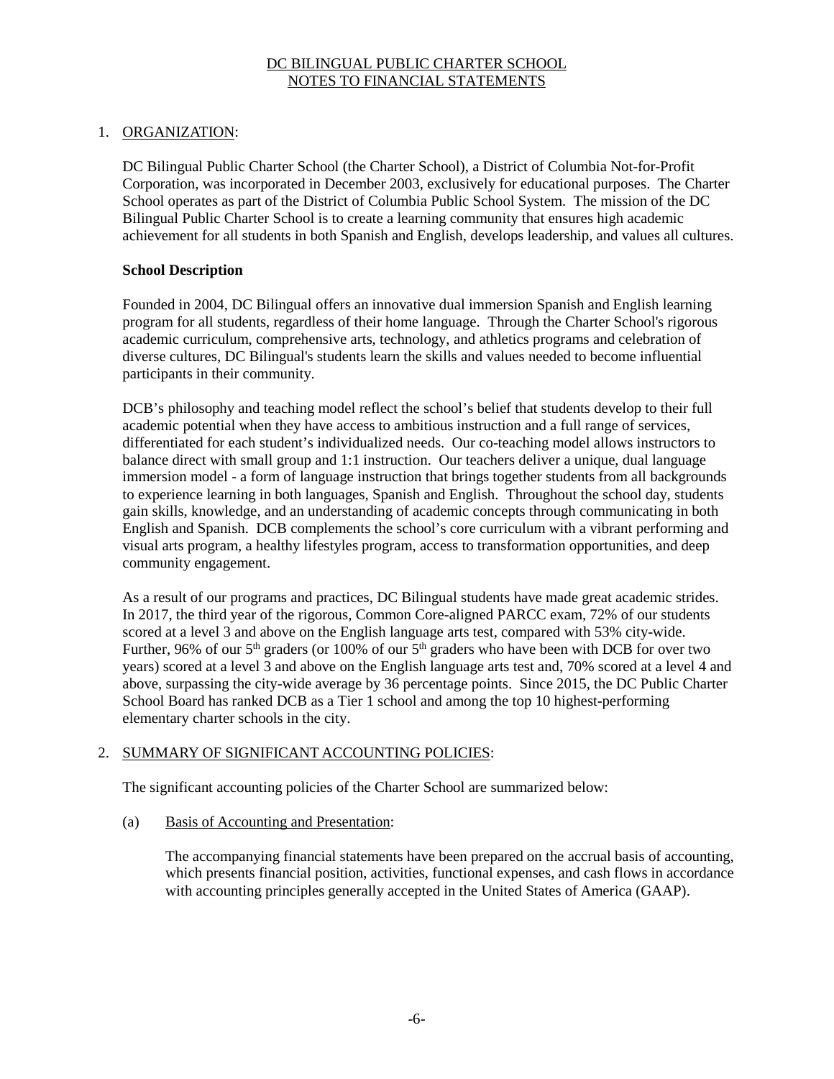### 1. ORGANIZATION:

DC Bilingual Public Charter School (the Charter School), a District of Columbia Not-for-Profit Corporation, was incorporated in December 2003, exclusively for educational purposes. The Charter School operates as part of the District of Columbia Public School System. The mission of the DC Bilingual Public Charter School is to create a learning community that ensures high academic achievement for all students in both Spanish and English, develops leadership, and values all cultures.

### **School Description**

Founded in 2004, DC Bilingual offers an innovative dual immersion Spanish and English learning program for all students, regardless of their home language. Through the Charter School's rigorous academic curriculum, comprehensive arts, technology, and athletics programs and celebration of diverse cultures, DC Bilingual's students learn the skills and values needed to become influential participants in their community.

DCB's philosophy and teaching model reflect the school's belief that students develop to their full academic potential when they have access to ambitious instruction and a full range of services, differentiated for each student's individualized needs. Our co-teaching model allows instructors to balance direct with small group and 1:1 instruction. Our teachers deliver a unique, dual language immersion model - a form of language instruction that brings together students from all backgrounds to experience learning in both languages, Spanish and English. Throughout the school day, students gain skills, knowledge, and an understanding of academic concepts through communicating in both English and Spanish. DCB complements the school's core curriculum with a vibrant performing and visual arts program, a healthy lifestyles program, access to transformation opportunities, and deep community engagement.

As a result of our programs and practices, DC Bilingual students have made great academic strides. In 2017, the third year of the rigorous, Common Core-aligned PARCC exam, 72% of our students scored at a level 3 and above on the English language arts test, compared with 53% city-wide. Further, 96% of our  $5<sup>th</sup>$  graders (or 100% of our  $5<sup>th</sup>$  graders who have been with DCB for over two years) scored at a level 3 and above on the English language arts test and, 70% scored at a level 4 and above, surpassing the city-wide average by 36 percentage points. Since 2015, the DC Public Charter School Board has ranked DCB as a Tier 1 school and among the top 10 highest-performing elementary charter schools in the city.

# 2. SUMMARY OF SIGNIFICANT ACCOUNTING POLICIES:

The significant accounting policies of the Charter School are summarized below:

### (a) Basis of Accounting and Presentation:

The accompanying financial statements have been prepared on the accrual basis of accounting, which presents financial position, activities, functional expenses, and cash flows in accordance with accounting principles generally accepted in the United States of America (GAAP).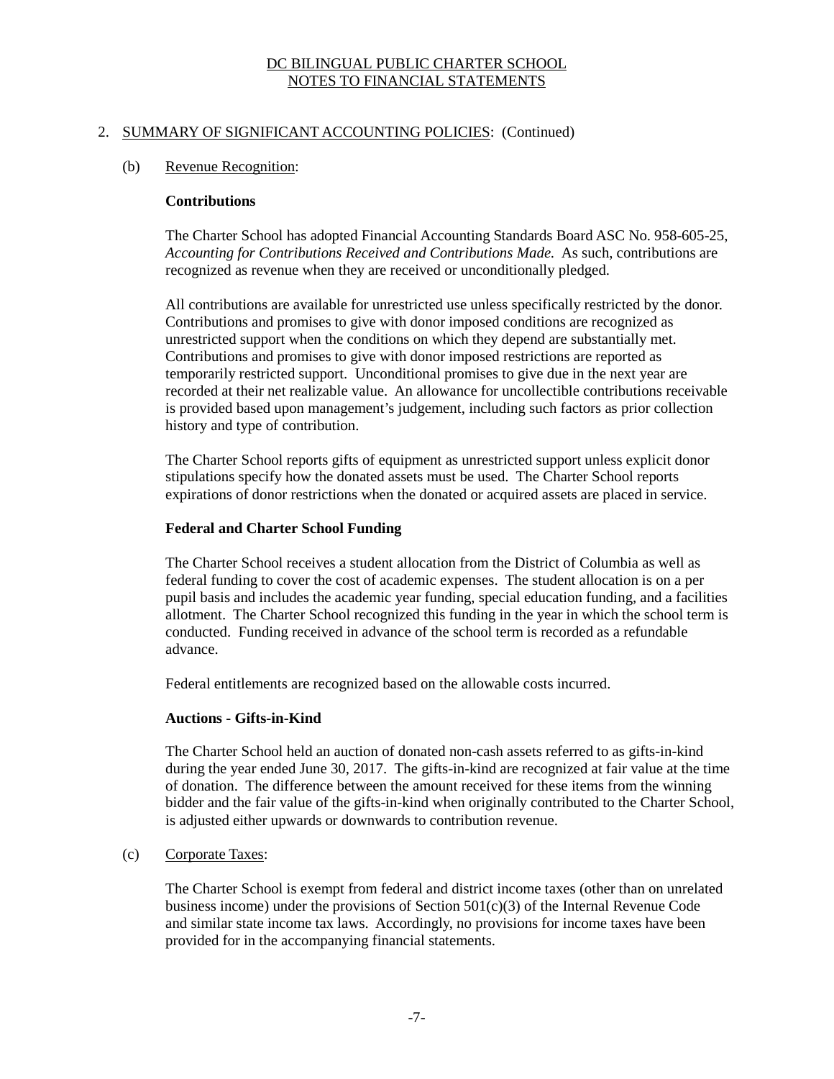### 2. SUMMARY OF SIGNIFICANT ACCOUNTING POLICIES: (Continued)

### (b) Revenue Recognition:

#### **Contributions**

The Charter School has adopted Financial Accounting Standards Board ASC No. 958-605-25, *Accounting for Contributions Received and Contributions Made.* As such, contributions are recognized as revenue when they are received or unconditionally pledged.

All contributions are available for unrestricted use unless specifically restricted by the donor. Contributions and promises to give with donor imposed conditions are recognized as unrestricted support when the conditions on which they depend are substantially met. Contributions and promises to give with donor imposed restrictions are reported as temporarily restricted support. Unconditional promises to give due in the next year are recorded at their net realizable value. An allowance for uncollectible contributions receivable is provided based upon management's judgement, including such factors as prior collection history and type of contribution.

The Charter School reports gifts of equipment as unrestricted support unless explicit donor stipulations specify how the donated assets must be used. The Charter School reports expirations of donor restrictions when the donated or acquired assets are placed in service.

#### **Federal and Charter School Funding**

The Charter School receives a student allocation from the District of Columbia as well as federal funding to cover the cost of academic expenses. The student allocation is on a per pupil basis and includes the academic year funding, special education funding, and a facilities allotment. The Charter School recognized this funding in the year in which the school term is conducted. Funding received in advance of the school term is recorded as a refundable advance.

Federal entitlements are recognized based on the allowable costs incurred.

### **Auctions - Gifts-in-Kind**

The Charter School held an auction of donated non-cash assets referred to as gifts-in-kind during the year ended June 30, 2017. The gifts-in-kind are recognized at fair value at the time of donation. The difference between the amount received for these items from the winning bidder and the fair value of the gifts-in-kind when originally contributed to the Charter School, is adjusted either upwards or downwards to contribution revenue.

(c) Corporate Taxes:

The Charter School is exempt from federal and district income taxes (other than on unrelated business income) under the provisions of Section  $501(c)(3)$  of the Internal Revenue Code and similar state income tax laws. Accordingly, no provisions for income taxes have been provided for in the accompanying financial statements.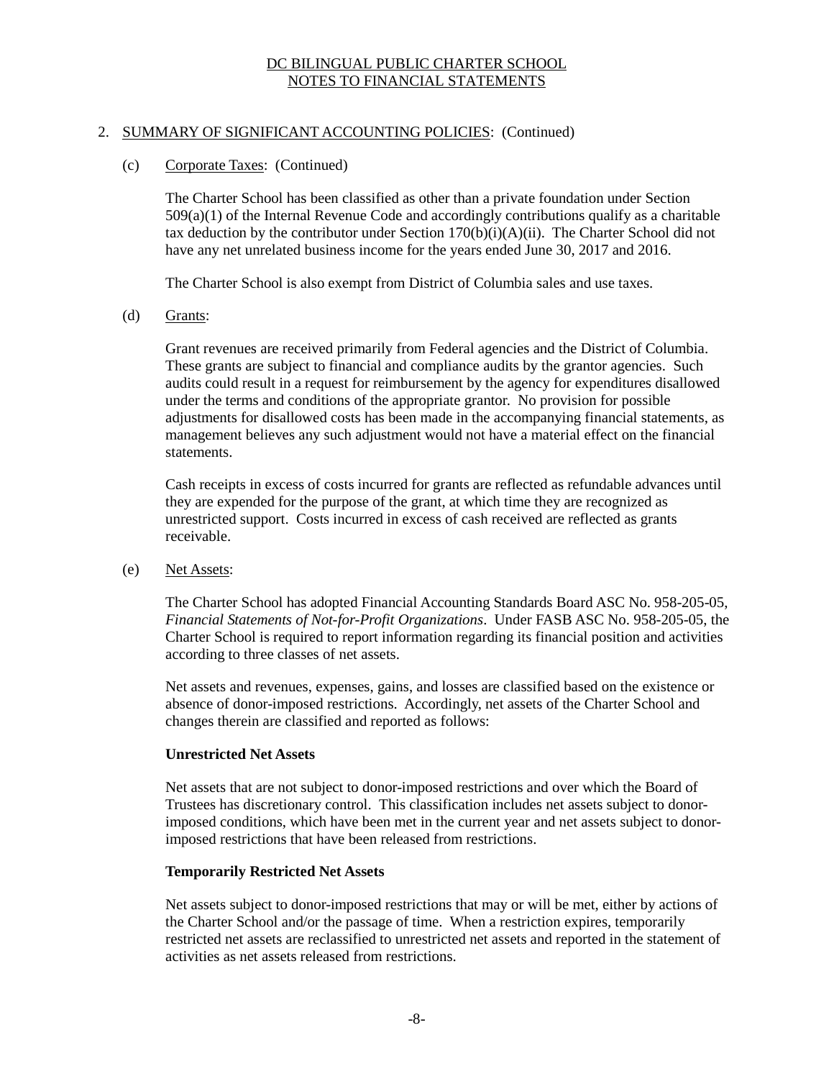### 2. SUMMARY OF SIGNIFICANT ACCOUNTING POLICIES: (Continued)

### (c) Corporate Taxes: (Continued)

The Charter School has been classified as other than a private foundation under Section  $509(a)(1)$  of the Internal Revenue Code and accordingly contributions qualify as a charitable tax deduction by the contributor under Section  $170(b)(i)(A)(ii)$ . The Charter School did not have any net unrelated business income for the years ended June 30, 2017 and 2016.

The Charter School is also exempt from District of Columbia sales and use taxes.

(d) Grants:

Grant revenues are received primarily from Federal agencies and the District of Columbia. These grants are subject to financial and compliance audits by the grantor agencies. Such audits could result in a request for reimbursement by the agency for expenditures disallowed under the terms and conditions of the appropriate grantor. No provision for possible adjustments for disallowed costs has been made in the accompanying financial statements, as management believes any such adjustment would not have a material effect on the financial statements.

Cash receipts in excess of costs incurred for grants are reflected as refundable advances until they are expended for the purpose of the grant, at which time they are recognized as unrestricted support. Costs incurred in excess of cash received are reflected as grants receivable.

(e) Net Assets:

The Charter School has adopted Financial Accounting Standards Board ASC No. 958-205-05, *Financial Statements of Not-for-Profit Organizations*. Under FASB ASC No. 958-205-05, the Charter School is required to report information regarding its financial position and activities according to three classes of net assets.

Net assets and revenues, expenses, gains, and losses are classified based on the existence or absence of donor-imposed restrictions. Accordingly, net assets of the Charter School and changes therein are classified and reported as follows:

### **Unrestricted Net Assets**

Net assets that are not subject to donor-imposed restrictions and over which the Board of Trustees has discretionary control. This classification includes net assets subject to donorimposed conditions, which have been met in the current year and net assets subject to donorimposed restrictions that have been released from restrictions.

### **Temporarily Restricted Net Assets**

Net assets subject to donor-imposed restrictions that may or will be met, either by actions of the Charter School and/or the passage of time. When a restriction expires, temporarily restricted net assets are reclassified to unrestricted net assets and reported in the statement of activities as net assets released from restrictions.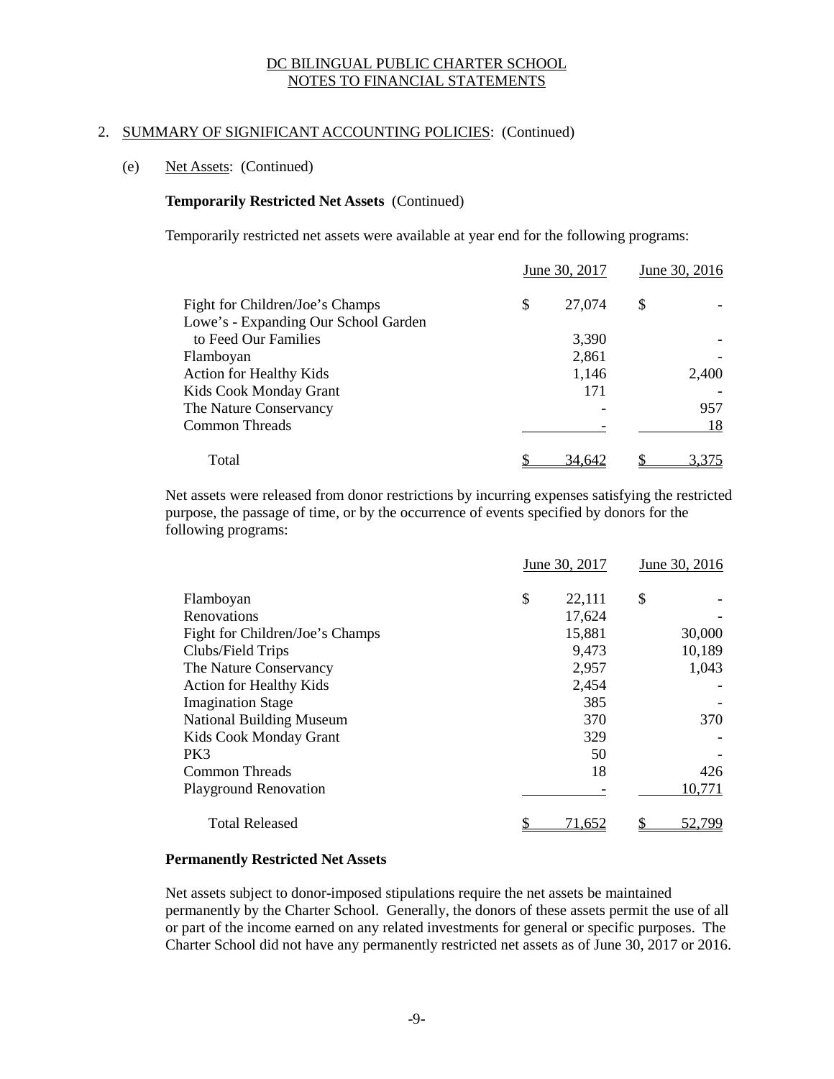### 2. SUMMARY OF SIGNIFICANT ACCOUNTING POLICIES: (Continued)

(e) Net Assets: (Continued)

#### **Temporarily Restricted Net Assets** (Continued)

Temporarily restricted net assets were available at year end for the following programs:

|                                      | June 30, 2017 | June 30, 2016 |       |  |
|--------------------------------------|---------------|---------------|-------|--|
| Fight for Children/Joe's Champs      | \$<br>27,074  | \$            |       |  |
| Lowe's - Expanding Our School Garden |               |               |       |  |
| to Feed Our Families                 | 3,390         |               |       |  |
| Flamboyan                            | 2,861         |               |       |  |
| <b>Action for Healthy Kids</b>       | 1,146         |               | 2,400 |  |
| Kids Cook Monday Grant               | 171           |               |       |  |
| The Nature Conservancy               |               |               | 957   |  |
| <b>Common Threads</b>                |               |               | 18    |  |
| Total                                | 34.642        |               | 3.375 |  |

Net assets were released from donor restrictions by incurring expenses satisfying the restricted purpose, the passage of time, or by the occurrence of events specified by donors for the following programs:

|                                 | June 30, 2017 |               | June 30, 2016 |        |
|---------------------------------|---------------|---------------|---------------|--------|
| Flamboyan                       | \$            | 22,111        | \$            |        |
| Renovations                     |               | 17,624        |               |        |
| Fight for Children/Joe's Champs |               | 15,881        |               | 30,000 |
| Clubs/Field Trips               |               | 9,473         |               | 10,189 |
| The Nature Conservancy          |               | 2,957         |               | 1,043  |
| <b>Action for Healthy Kids</b>  |               | 2,454         |               |        |
| <b>Imagination Stage</b>        |               | 385           |               |        |
| <b>National Building Museum</b> |               | 370           |               | 370    |
| Kids Cook Monday Grant          |               | 329           |               |        |
| PK3                             |               | 50            |               |        |
| <b>Common Threads</b>           |               | 18            |               | 426    |
| <b>Playground Renovation</b>    |               |               |               | 10,771 |
| <b>Total Released</b>           |               | <u>71,652</u> |               |        |

#### **Permanently Restricted Net Assets**

Net assets subject to donor-imposed stipulations require the net assets be maintained permanently by the Charter School. Generally, the donors of these assets permit the use of all or part of the income earned on any related investments for general or specific purposes. The Charter School did not have any permanently restricted net assets as of June 30, 2017 or 2016.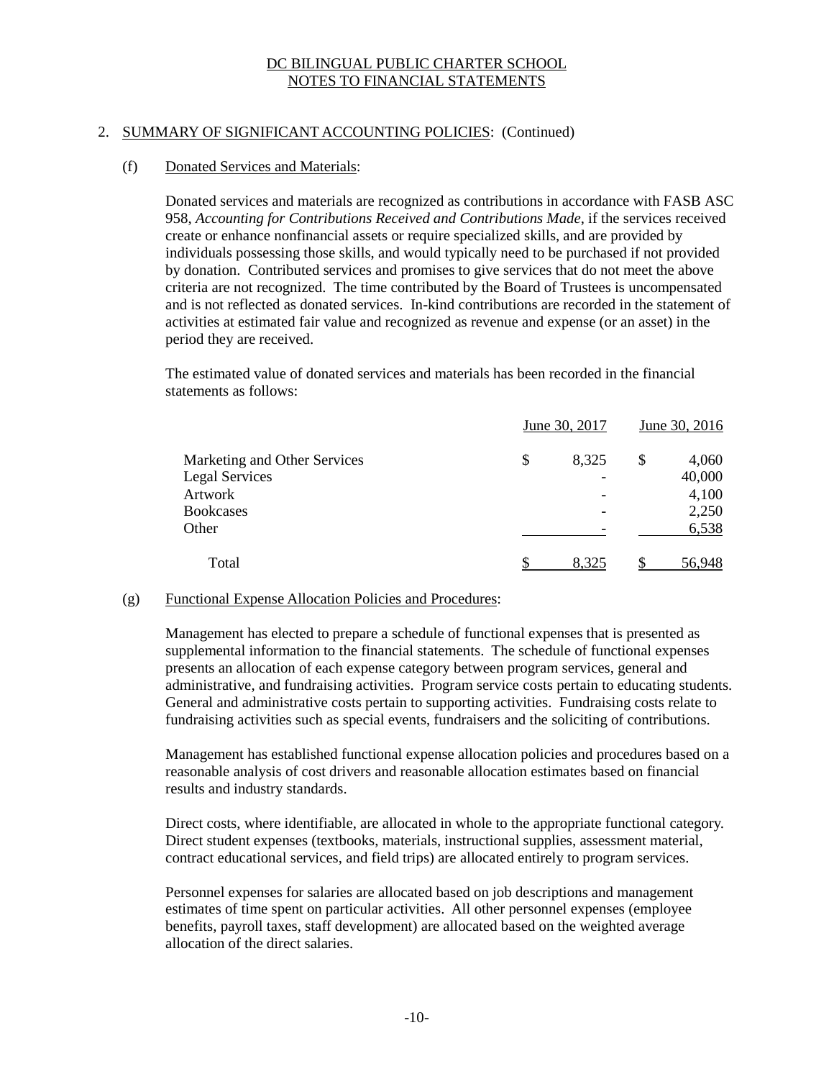# 2. SUMMARY OF SIGNIFICANT ACCOUNTING POLICIES: (Continued)

### (f) Donated Services and Materials:

Donated services and materials are recognized as contributions in accordance with FASB ASC 958, *Accounting for Contributions Received and Contributions Made*, if the services received create or enhance nonfinancial assets or require specialized skills, and are provided by individuals possessing those skills, and would typically need to be purchased if not provided by donation. Contributed services and promises to give services that do not meet the above criteria are not recognized. The time contributed by the Board of Trustees is uncompensated and is not reflected as donated services. In-kind contributions are recorded in the statement of activities at estimated fair value and recognized as revenue and expense (or an asset) in the period they are received.

The estimated value of donated services and materials has been recorded in the financial statements as follows:

|                              | June 30, 2017 |   | June 30, 2016 |
|------------------------------|---------------|---|---------------|
| Marketing and Other Services | \$<br>8,325   | S | 4,060         |
| <b>Legal Services</b>        |               |   | 40,000        |
| Artwork                      |               |   | 4,100         |
| <b>Bookcases</b>             |               |   | 2,250         |
| Other                        |               |   | 6,538         |
| Total                        | 8.325         |   | 56.948        |

### (g) Functional Expense Allocation Policies and Procedures:

Management has elected to prepare a schedule of functional expenses that is presented as supplemental information to the financial statements. The schedule of functional expenses presents an allocation of each expense category between program services, general and administrative, and fundraising activities. Program service costs pertain to educating students. General and administrative costs pertain to supporting activities. Fundraising costs relate to fundraising activities such as special events, fundraisers and the soliciting of contributions.

Management has established functional expense allocation policies and procedures based on a reasonable analysis of cost drivers and reasonable allocation estimates based on financial results and industry standards.

Direct costs, where identifiable, are allocated in whole to the appropriate functional category. Direct student expenses (textbooks, materials, instructional supplies, assessment material, contract educational services, and field trips) are allocated entirely to program services.

Personnel expenses for salaries are allocated based on job descriptions and management estimates of time spent on particular activities. All other personnel expenses (employee benefits, payroll taxes, staff development) are allocated based on the weighted average allocation of the direct salaries.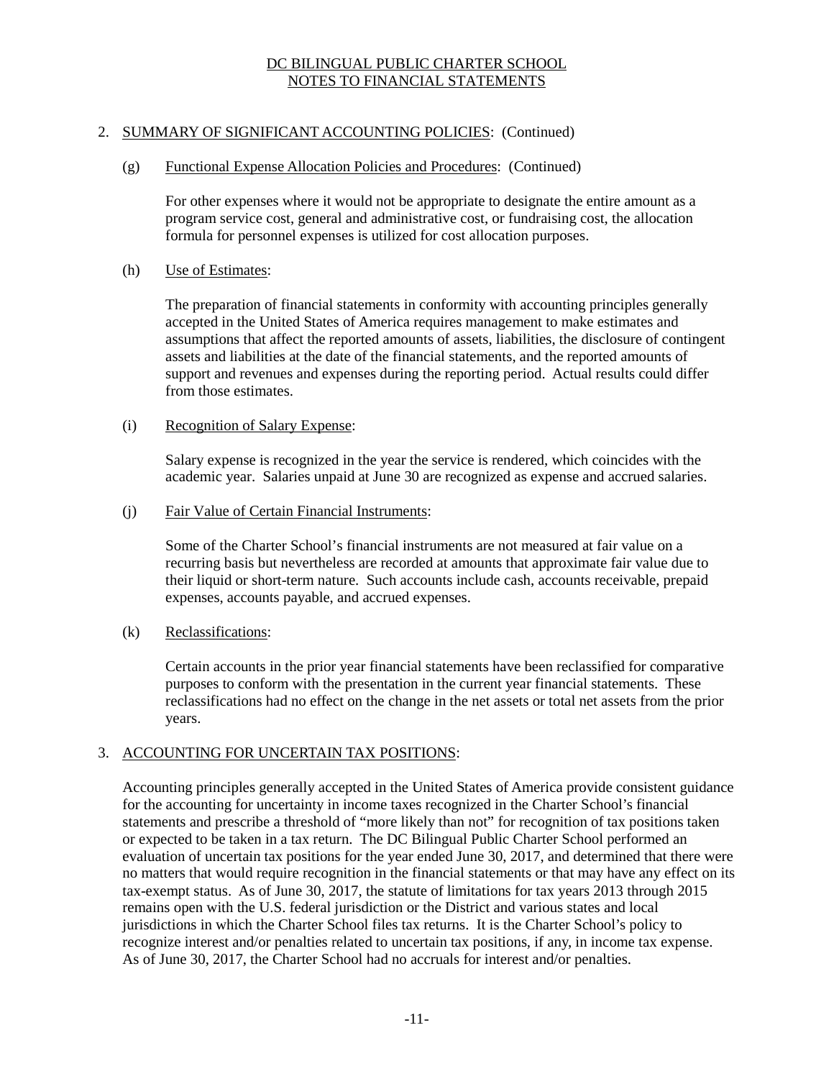### 2. SUMMARY OF SIGNIFICANT ACCOUNTING POLICIES: (Continued)

#### (g) Functional Expense Allocation Policies and Procedures: (Continued)

For other expenses where it would not be appropriate to designate the entire amount as a program service cost, general and administrative cost, or fundraising cost, the allocation formula for personnel expenses is utilized for cost allocation purposes.

#### (h) Use of Estimates:

The preparation of financial statements in conformity with accounting principles generally accepted in the United States of America requires management to make estimates and assumptions that affect the reported amounts of assets, liabilities, the disclosure of contingent assets and liabilities at the date of the financial statements, and the reported amounts of support and revenues and expenses during the reporting period. Actual results could differ from those estimates.

#### (i) Recognition of Salary Expense:

Salary expense is recognized in the year the service is rendered, which coincides with the academic year. Salaries unpaid at June 30 are recognized as expense and accrued salaries.

#### (j) Fair Value of Certain Financial Instruments:

Some of the Charter School's financial instruments are not measured at fair value on a recurring basis but nevertheless are recorded at amounts that approximate fair value due to their liquid or short-term nature. Such accounts include cash, accounts receivable, prepaid expenses, accounts payable, and accrued expenses.

### (k) Reclassifications:

Certain accounts in the prior year financial statements have been reclassified for comparative purposes to conform with the presentation in the current year financial statements. These reclassifications had no effect on the change in the net assets or total net assets from the prior years.

### 3. ACCOUNTING FOR UNCERTAIN TAX POSITIONS:

Accounting principles generally accepted in the United States of America provide consistent guidance for the accounting for uncertainty in income taxes recognized in the Charter School's financial statements and prescribe a threshold of "more likely than not" for recognition of tax positions taken or expected to be taken in a tax return. The DC Bilingual Public Charter School performed an evaluation of uncertain tax positions for the year ended June 30, 2017, and determined that there were no matters that would require recognition in the financial statements or that may have any effect on its tax-exempt status. As of June 30, 2017, the statute of limitations for tax years 2013 through 2015 remains open with the U.S. federal jurisdiction or the District and various states and local jurisdictions in which the Charter School files tax returns. It is the Charter School's policy to recognize interest and/or penalties related to uncertain tax positions, if any, in income tax expense. As of June 30, 2017, the Charter School had no accruals for interest and/or penalties.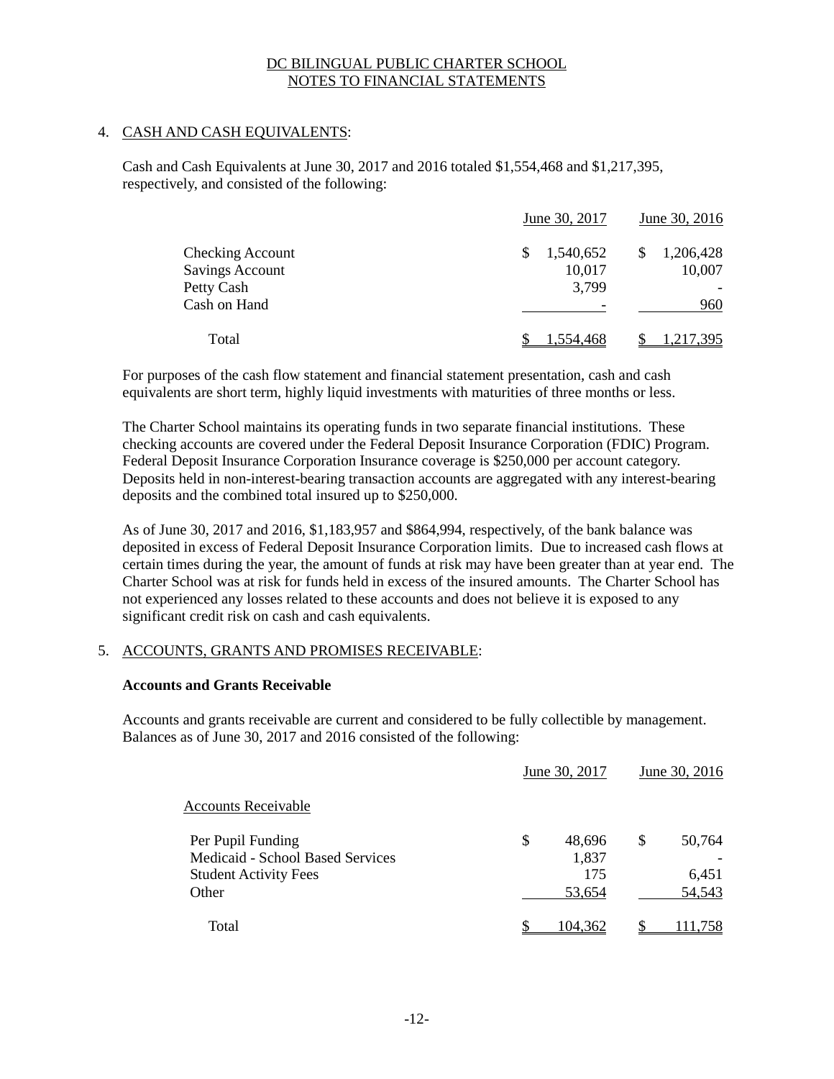### 4. CASH AND CASH EQUIVALENTS:

Cash and Cash Equivalents at June 30, 2017 and 2016 totaled \$1,554,468 and \$1,217,395, respectively, and consisted of the following:

|                                      | June 30, 2017   | June 30, 2016   |  |  |
|--------------------------------------|-----------------|-----------------|--|--|
| Checking Account                     | 1,540,652       | 1,206,428<br>\$ |  |  |
| <b>Savings Account</b><br>Petty Cash | 10,017<br>3,799 | 10,007          |  |  |
| Cash on Hand                         |                 | 960             |  |  |
| Total                                | 1,554,468       | 1.217.395       |  |  |

For purposes of the cash flow statement and financial statement presentation, cash and cash equivalents are short term, highly liquid investments with maturities of three months or less.

The Charter School maintains its operating funds in two separate financial institutions. These checking accounts are covered under the Federal Deposit Insurance Corporation (FDIC) Program. Federal Deposit Insurance Corporation Insurance coverage is \$250,000 per account category. Deposits held in non-interest-bearing transaction accounts are aggregated with any interest-bearing deposits and the combined total insured up to \$250,000.

As of June 30, 2017 and 2016, \$1,183,957 and \$864,994, respectively, of the bank balance was deposited in excess of Federal Deposit Insurance Corporation limits. Due to increased cash flows at certain times during the year, the amount of funds at risk may have been greater than at year end. The Charter School was at risk for funds held in excess of the insured amounts. The Charter School has not experienced any losses related to these accounts and does not believe it is exposed to any significant credit risk on cash and cash equivalents.

### 5. ACCOUNTS, GRANTS AND PROMISES RECEIVABLE:

### **Accounts and Grants Receivable**

Accounts and grants receivable are current and considered to be fully collectible by management. Balances as of June 30, 2017 and 2016 consisted of the following:

|                                                                                                | June 30, 2017                          |   | June 30, 2016             |
|------------------------------------------------------------------------------------------------|----------------------------------------|---|---------------------------|
| <b>Accounts Receivable</b>                                                                     |                                        |   |                           |
| Per Pupil Funding<br>Medicaid - School Based Services<br><b>Student Activity Fees</b><br>Other | \$<br>48,696<br>1,837<br>175<br>53,654 | S | 50.764<br>6,451<br>54,543 |
| Total                                                                                          | 104.362                                |   |                           |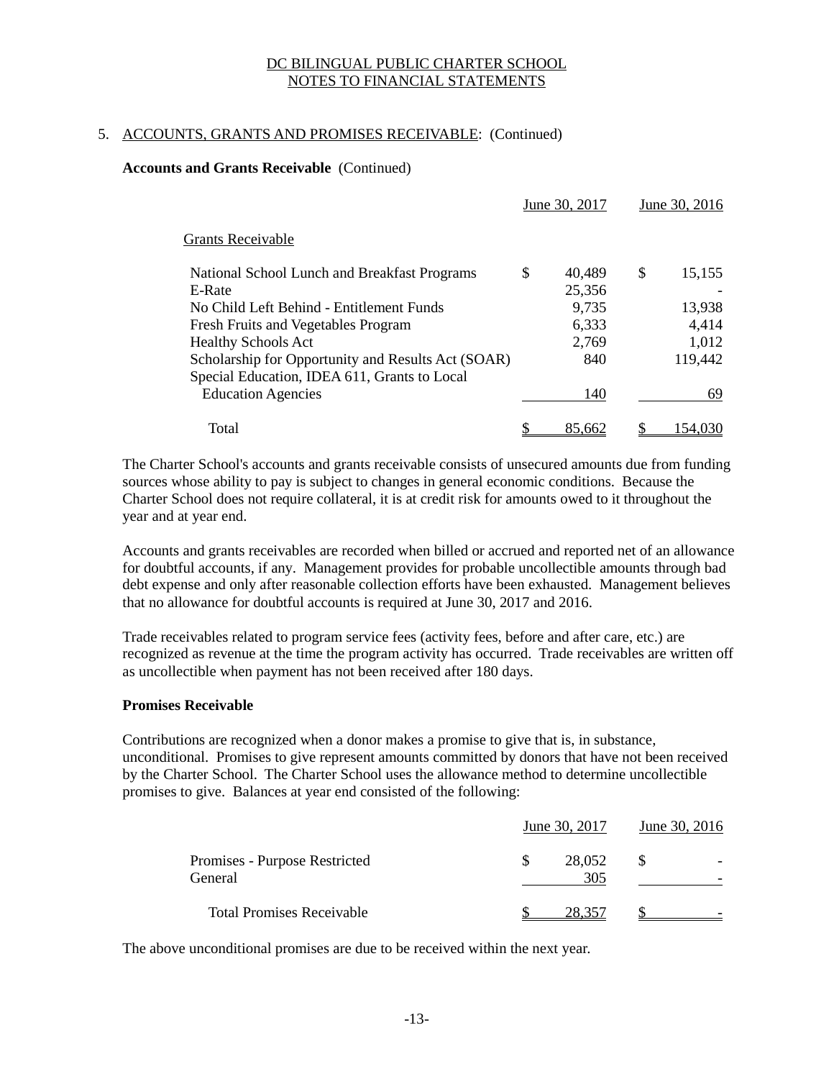### 5. ACCOUNTS, GRANTS AND PROMISES RECEIVABLE: (Continued)

### **Accounts and Grants Receivable** (Continued)

|                                                    |   | June 30, 2017 |   | June 30, 2016 |
|----------------------------------------------------|---|---------------|---|---------------|
| Grants Receivable                                  |   |               |   |               |
| National School Lunch and Breakfast Programs       | S | 40.489        | S | 15,155        |
| E-Rate                                             |   | 25,356        |   |               |
| No Child Left Behind - Entitlement Funds           |   | 9,735         |   | 13,938        |
| Fresh Fruits and Vegetables Program                |   | 6,333         |   | 4,414         |
| <b>Healthy Schools Act</b>                         |   | 2,769         |   | 1,012         |
| Scholarship for Opportunity and Results Act (SOAR) |   | 840           |   | 119,442       |
| Special Education, IDEA 611, Grants to Local       |   |               |   |               |
| <b>Education Agencies</b>                          |   | 140           |   | 69            |
| Total                                              |   | 85.662        |   | 54.030        |

The Charter School's accounts and grants receivable consists of unsecured amounts due from funding sources whose ability to pay is subject to changes in general economic conditions. Because the Charter School does not require collateral, it is at credit risk for amounts owed to it throughout the year and at year end.

Accounts and grants receivables are recorded when billed or accrued and reported net of an allowance for doubtful accounts, if any. Management provides for probable uncollectible amounts through bad debt expense and only after reasonable collection efforts have been exhausted. Management believes that no allowance for doubtful accounts is required at June 30, 2017 and 2016.

Trade receivables related to program service fees (activity fees, before and after care, etc.) are recognized as revenue at the time the program activity has occurred. Trade receivables are written off as uncollectible when payment has not been received after 180 days.

### **Promises Receivable**

Contributions are recognized when a donor makes a promise to give that is, in substance, unconditional. Promises to give represent amounts committed by donors that have not been received by the Charter School. The Charter School uses the allowance method to determine uncollectible promises to give. Balances at year end consisted of the following:

|                                          | June 30, 2017 | June 30, 2016 |
|------------------------------------------|---------------|---------------|
| Promises - Purpose Restricted<br>General | 28,052        | 305           |
| <b>Total Promises Receivable</b>         |               |               |

The above unconditional promises are due to be received within the next year.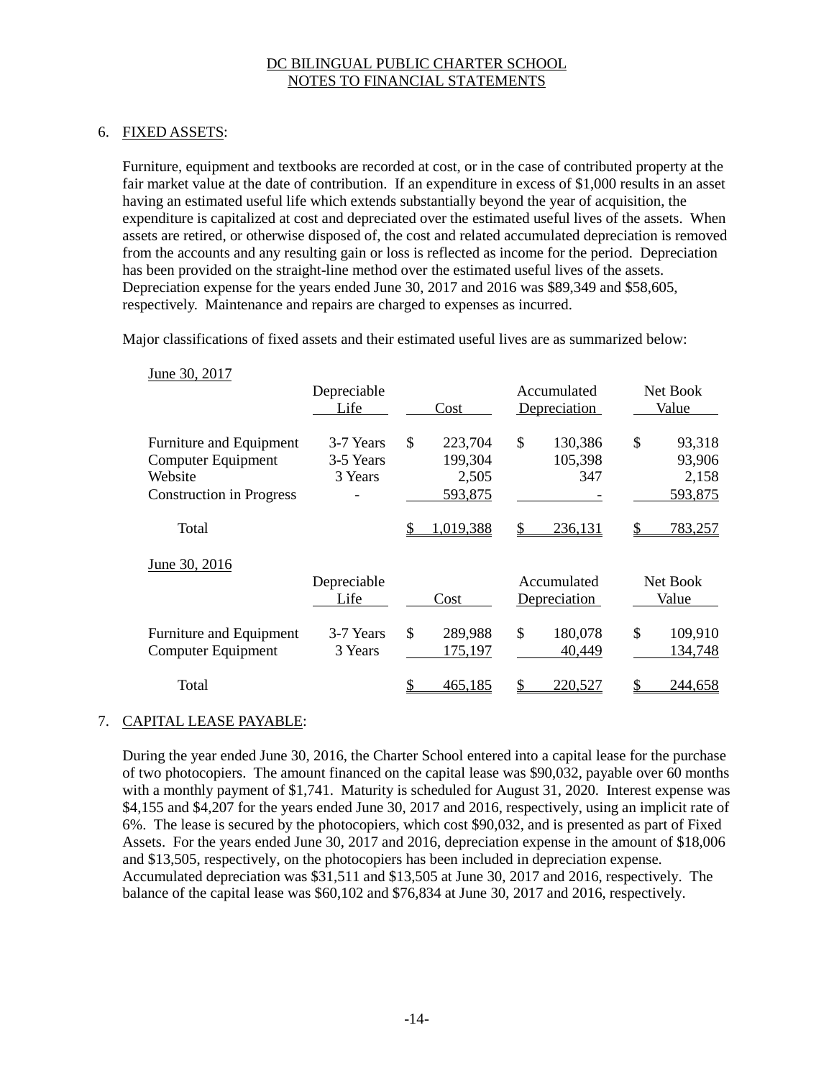### 6. FIXED ASSETS:

Furniture, equipment and textbooks are recorded at cost, or in the case of contributed property at the fair market value at the date of contribution. If an expenditure in excess of \$1,000 results in an asset having an estimated useful life which extends substantially beyond the year of acquisition, the expenditure is capitalized at cost and depreciated over the estimated useful lives of the assets. When assets are retired, or otherwise disposed of, the cost and related accumulated depreciation is removed from the accounts and any resulting gain or loss is reflected as income for the period. Depreciation has been provided on the straight-line method over the estimated useful lives of the assets. Depreciation expense for the years ended June 30, 2017 and 2016 was \$89,349 and \$58,605, respectively. Maintenance and repairs are charged to expenses as incurred.

Major classifications of fixed assets and their estimated useful lives are as summarized below:

| June 30, 2017                                                                               |                                   |                                              |                                 |                                            |
|---------------------------------------------------------------------------------------------|-----------------------------------|----------------------------------------------|---------------------------------|--------------------------------------------|
|                                                                                             | Depreciable<br>Life               | Cost                                         | Accumulated<br>Depreciation     | Net Book<br>Value                          |
| Furniture and Equipment<br>Computer Equipment<br>Website<br><b>Construction in Progress</b> | 3-7 Years<br>3-5 Years<br>3 Years | \$<br>223,704<br>199,304<br>2,505<br>593,875 | \$<br>130,386<br>105,398<br>347 | \$<br>93,318<br>93,906<br>2,158<br>593,875 |
| Total                                                                                       |                                   | \$<br>1,019,388                              | 236,131                         | 783,257                                    |
| June 30, 2016                                                                               | Depreciable<br>Life               | Cost                                         | Accumulated<br>Depreciation     | Net Book<br>Value                          |
| Furniture and Equipment<br>Computer Equipment                                               | 3-7 Years<br>3 Years              | \$<br>289,988<br>175,197                     | \$<br>180,078<br>40,449         | \$<br>109,910<br>134,748                   |
| Total                                                                                       |                                   | \$<br>465,185                                | \$<br><u>220,527</u>            | \$<br><u>244,658</u>                       |

# 7. CAPITAL LEASE PAYABLE:

During the year ended June 30, 2016, the Charter School entered into a capital lease for the purchase of two photocopiers. The amount financed on the capital lease was \$90,032, payable over 60 months with a monthly payment of \$1,741. Maturity is scheduled for August 31, 2020. Interest expense was \$4,155 and \$4,207 for the years ended June 30, 2017 and 2016, respectively, using an implicit rate of 6%. The lease is secured by the photocopiers, which cost \$90,032, and is presented as part of Fixed Assets. For the years ended June 30, 2017 and 2016, depreciation expense in the amount of \$18,006 and \$13,505, respectively, on the photocopiers has been included in depreciation expense. Accumulated depreciation was \$31,511 and \$13,505 at June 30, 2017 and 2016, respectively. The balance of the capital lease was \$60,102 and \$76,834 at June 30, 2017 and 2016, respectively.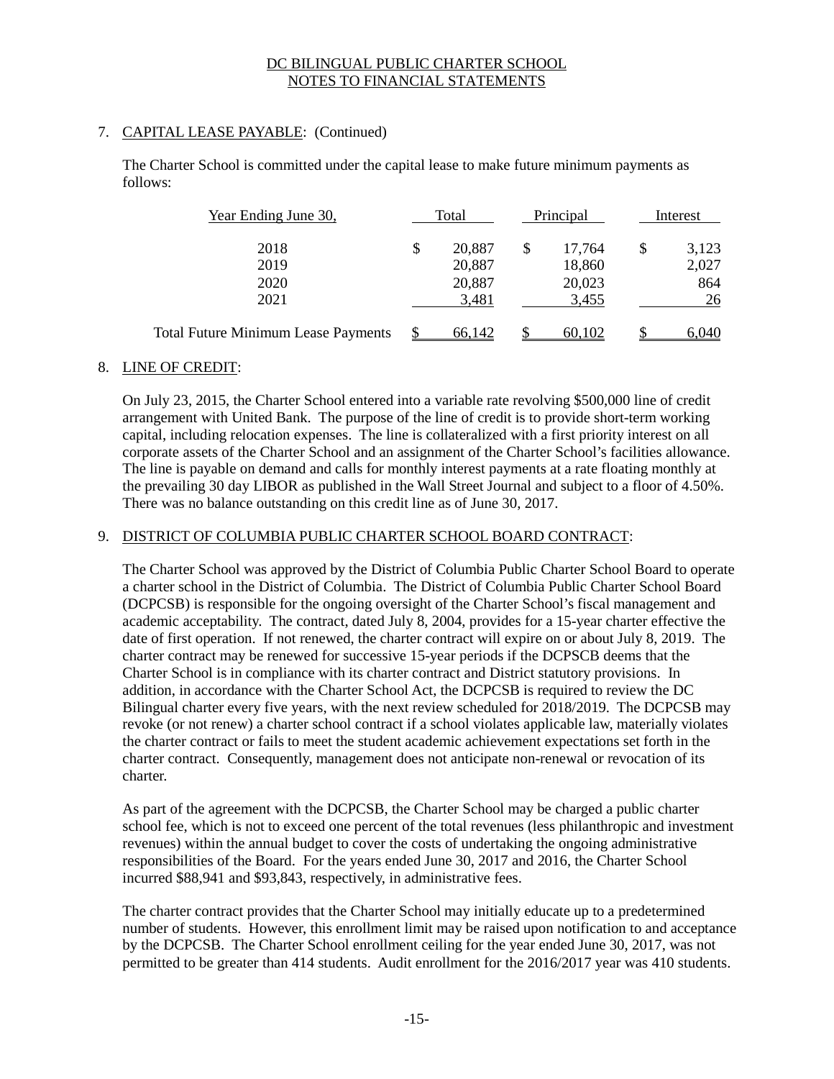### 7. CAPITAL LEASE PAYABLE: (Continued)

The Charter School is committed under the capital lease to make future minimum payments as follows:

| Year Ending June 30,                       |    | Total  |   | Principal |    | Interest |  |
|--------------------------------------------|----|--------|---|-----------|----|----------|--|
| 2018                                       | \$ | 20,887 | S | 17,764    | \$ | 3,123    |  |
| 2019                                       |    | 20,887 |   | 18,860    |    | 2,027    |  |
| 2020                                       |    | 20,887 |   | 20,023    |    | 864      |  |
| 2021                                       |    | 3,481  |   | 3,455     |    | 26       |  |
| <b>Total Future Minimum Lease Payments</b> |    | 66.142 |   | 60,102    |    | 6,040    |  |

### 8. LINE OF CREDIT:

On July 23, 2015, the Charter School entered into a variable rate revolving \$500,000 line of credit arrangement with United Bank. The purpose of the line of credit is to provide short-term working capital, including relocation expenses. The line is collateralized with a first priority interest on all corporate assets of the Charter School and an assignment of the Charter School's facilities allowance. The line is payable on demand and calls for monthly interest payments at a rate floating monthly at the prevailing 30 day LIBOR as published in the Wall Street Journal and subject to a floor of 4.50%. There was no balance outstanding on this credit line as of June 30, 2017.

### 9. DISTRICT OF COLUMBIA PUBLIC CHARTER SCHOOL BOARD CONTRACT:

The Charter School was approved by the District of Columbia Public Charter School Board to operate a charter school in the District of Columbia. The District of Columbia Public Charter School Board (DCPCSB) is responsible for the ongoing oversight of the Charter School's fiscal management and academic acceptability. The contract, dated July 8, 2004, provides for a 15-year charter effective the date of first operation. If not renewed, the charter contract will expire on or about July 8, 2019. The charter contract may be renewed for successive 15-year periods if the DCPSCB deems that the Charter School is in compliance with its charter contract and District statutory provisions. In addition, in accordance with the Charter School Act, the DCPCSB is required to review the DC Bilingual charter every five years, with the next review scheduled for 2018/2019. The DCPCSB may revoke (or not renew) a charter school contract if a school violates applicable law, materially violates the charter contract or fails to meet the student academic achievement expectations set forth in the charter contract. Consequently, management does not anticipate non-renewal or revocation of its charter.

As part of the agreement with the DCPCSB, the Charter School may be charged a public charter school fee, which is not to exceed one percent of the total revenues (less philanthropic and investment revenues) within the annual budget to cover the costs of undertaking the ongoing administrative responsibilities of the Board. For the years ended June 30, 2017 and 2016, the Charter School incurred \$88,941 and \$93,843, respectively, in administrative fees.

The charter contract provides that the Charter School may initially educate up to a predetermined number of students. However, this enrollment limit may be raised upon notification to and acceptance by the DCPCSB. The Charter School enrollment ceiling for the year ended June 30, 2017, was not permitted to be greater than 414 students. Audit enrollment for the 2016/2017 year was 410 students.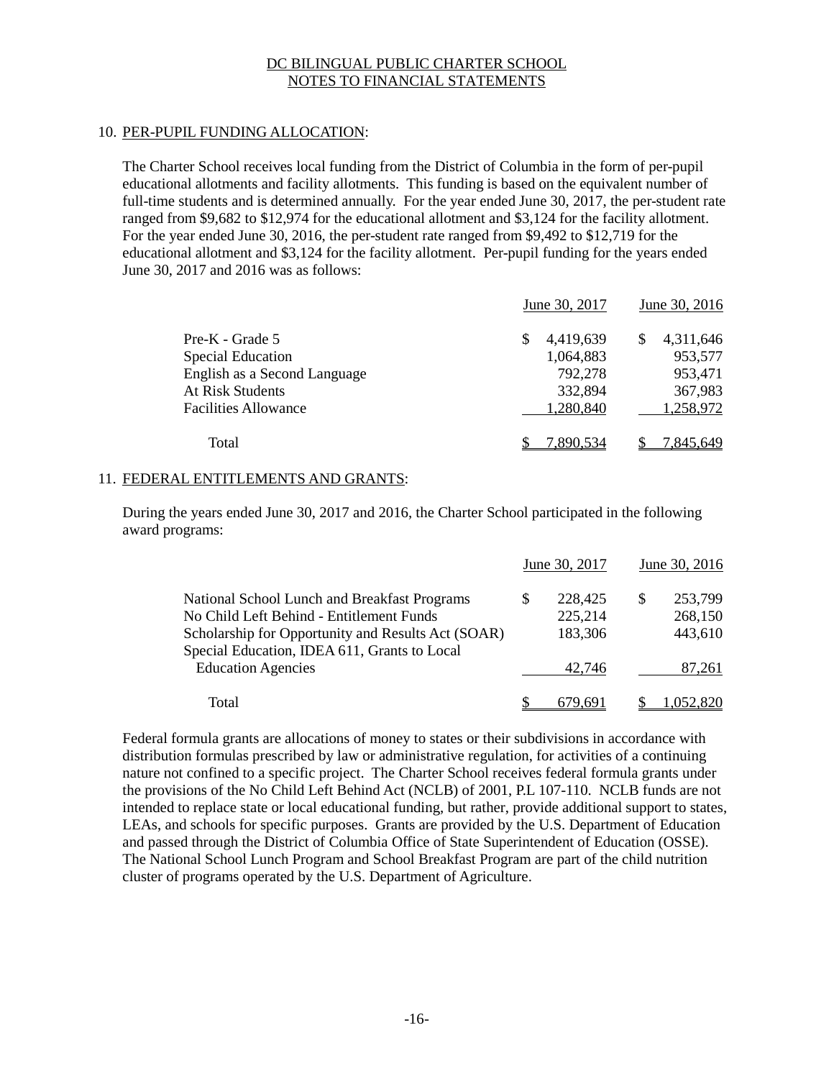### 10. PER-PUPIL FUNDING ALLOCATION:

The Charter School receives local funding from the District of Columbia in the form of per-pupil educational allotments and facility allotments. This funding is based on the equivalent number of full-time students and is determined annually. For the year ended June 30, 2017, the per-student rate ranged from \$9,682 to \$12,974 for the educational allotment and \$3,124 for the facility allotment. For the year ended June 30, 2016, the per-student rate ranged from \$9,492 to \$12,719 for the educational allotment and \$3,124 for the facility allotment. Per-pupil funding for the years ended June 30, 2017 and 2016 was as follows:

|                              | June 30, 2017 |           |   | June 30, 2016 |  |  |
|------------------------------|---------------|-----------|---|---------------|--|--|
| Pre-K - Grade 5              |               | 4,419,639 | S | 4,311,646     |  |  |
| <b>Special Education</b>     |               | 1,064,883 |   | 953,577       |  |  |
| English as a Second Language |               | 792,278   |   | 953,471       |  |  |
| At Risk Students             |               | 332,894   |   | 367,983       |  |  |
| <b>Facilities Allowance</b>  |               | 1,280,840 |   | 1,258,972     |  |  |
| Total                        |               | 7.890.534 |   | 7.845.649     |  |  |

# 11. FEDERAL ENTITLEMENTS AND GRANTS:

During the years ended June 30, 2017 and 2016, the Charter School participated in the following award programs:

|                                                    | June 30, 2017 | June 30, 2016 |
|----------------------------------------------------|---------------|---------------|
| National School Lunch and Breakfast Programs       | 228,425       | 253,799       |
| No Child Left Behind - Entitlement Funds           | 225,214       | 268,150       |
| Scholarship for Opportunity and Results Act (SOAR) | 183,306       | 443,610       |
| Special Education, IDEA 611, Grants to Local       |               |               |
| <b>Education Agencies</b>                          | 42.746        | 87,261        |
|                                                    |               |               |
| Total                                              |               |               |

Federal formula grants are allocations of money to states or their subdivisions in accordance with distribution formulas prescribed by law or administrative regulation, for activities of a continuing nature not confined to a specific project. The Charter School receives federal formula grants under the provisions of the No Child Left Behind Act (NCLB) of 2001, P.L 107-110. NCLB funds are not intended to replace state or local educational funding, but rather, provide additional support to states, LEAs, and schools for specific purposes. Grants are provided by the U.S. Department of Education and passed through the District of Columbia Office of State Superintendent of Education (OSSE). The National School Lunch Program and School Breakfast Program are part of the child nutrition cluster of programs operated by the U.S. Department of Agriculture.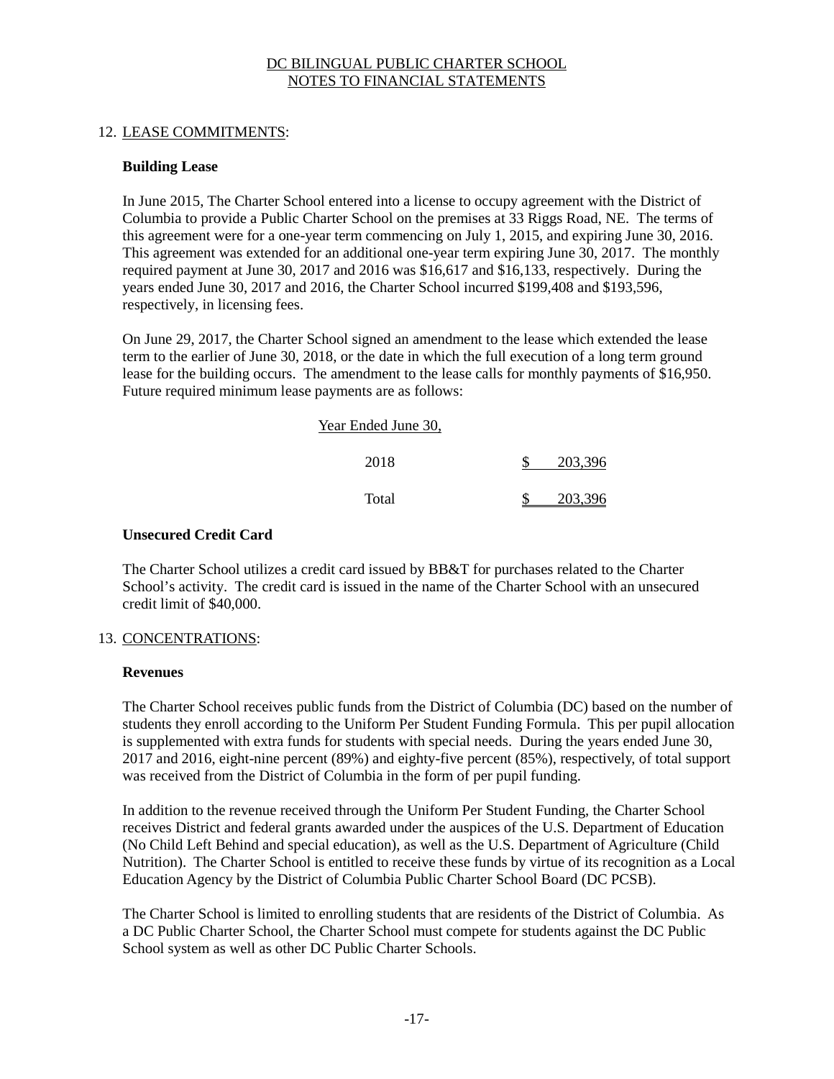### 12. LEASE COMMITMENTS:

### **Building Lease**

In June 2015, The Charter School entered into a license to occupy agreement with the District of Columbia to provide a Public Charter School on the premises at 33 Riggs Road, NE. The terms of this agreement were for a one-year term commencing on July 1, 2015, and expiring June 30, 2016. This agreement was extended for an additional one-year term expiring June 30, 2017. The monthly required payment at June 30, 2017 and 2016 was \$16,617 and \$16,133, respectively. During the years ended June 30, 2017 and 2016, the Charter School incurred \$199,408 and \$193,596, respectively, in licensing fees.

On June 29, 2017, the Charter School signed an amendment to the lease which extended the lease term to the earlier of June 30, 2018, or the date in which the full execution of a long term ground lease for the building occurs. The amendment to the lease calls for monthly payments of \$16,950. Future required minimum lease payments are as follows:

| Year Ended June 30, |         |
|---------------------|---------|
| 2018                | 203,396 |
| Total               | 203.396 |

### **Unsecured Credit Card**

The Charter School utilizes a credit card issued by BB&T for purchases related to the Charter School's activity. The credit card is issued in the name of the Charter School with an unsecured credit limit of \$40,000.

### 13. CONCENTRATIONS:

### **Revenues**

The Charter School receives public funds from the District of Columbia (DC) based on the number of students they enroll according to the Uniform Per Student Funding Formula. This per pupil allocation is supplemented with extra funds for students with special needs. During the years ended June 30, 2017 and 2016, eight-nine percent (89%) and eighty-five percent (85%), respectively, of total support was received from the District of Columbia in the form of per pupil funding.

In addition to the revenue received through the Uniform Per Student Funding, the Charter School receives District and federal grants awarded under the auspices of the U.S. Department of Education (No Child Left Behind and special education), as well as the U.S. Department of Agriculture (Child Nutrition). The Charter School is entitled to receive these funds by virtue of its recognition as a Local Education Agency by the District of Columbia Public Charter School Board (DC PCSB).

The Charter School is limited to enrolling students that are residents of the District of Columbia. As a DC Public Charter School, the Charter School must compete for students against the DC Public School system as well as other DC Public Charter Schools.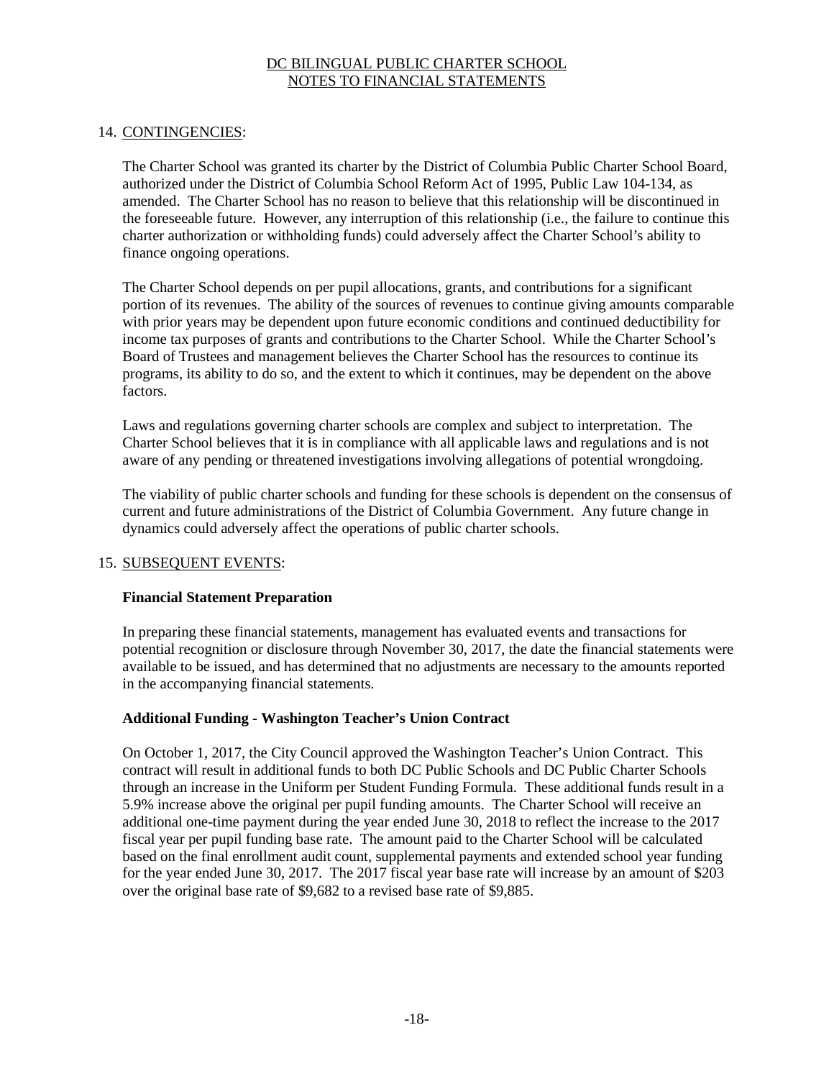### 14. CONTINGENCIES:

The Charter School was granted its charter by the District of Columbia Public Charter School Board, authorized under the District of Columbia School Reform Act of 1995, Public Law 104-134, as amended. The Charter School has no reason to believe that this relationship will be discontinued in the foreseeable future. However, any interruption of this relationship (i.e., the failure to continue this charter authorization or withholding funds) could adversely affect the Charter School's ability to finance ongoing operations.

The Charter School depends on per pupil allocations, grants, and contributions for a significant portion of its revenues. The ability of the sources of revenues to continue giving amounts comparable with prior years may be dependent upon future economic conditions and continued deductibility for income tax purposes of grants and contributions to the Charter School. While the Charter School's Board of Trustees and management believes the Charter School has the resources to continue its programs, its ability to do so, and the extent to which it continues, may be dependent on the above factors.

Laws and regulations governing charter schools are complex and subject to interpretation. The Charter School believes that it is in compliance with all applicable laws and regulations and is not aware of any pending or threatened investigations involving allegations of potential wrongdoing.

The viability of public charter schools and funding for these schools is dependent on the consensus of current and future administrations of the District of Columbia Government. Any future change in dynamics could adversely affect the operations of public charter schools.

### 15. SUBSEQUENT EVENTS:

### **Financial Statement Preparation**

In preparing these financial statements, management has evaluated events and transactions for potential recognition or disclosure through November 30, 2017, the date the financial statements were available to be issued, and has determined that no adjustments are necessary to the amounts reported in the accompanying financial statements.

# **Additional Funding - Washington Teacher's Union Contract**

On October 1, 2017, the City Council approved the Washington Teacher's Union Contract. This contract will result in additional funds to both DC Public Schools and DC Public Charter Schools through an increase in the Uniform per Student Funding Formula. These additional funds result in a 5.9% increase above the original per pupil funding amounts. The Charter School will receive an additional one-time payment during the year ended June 30, 2018 to reflect the increase to the 2017 fiscal year per pupil funding base rate. The amount paid to the Charter School will be calculated based on the final enrollment audit count, supplemental payments and extended school year funding for the year ended June 30, 2017. The 2017 fiscal year base rate will increase by an amount of \$203 over the original base rate of \$9,682 to a revised base rate of \$9,885.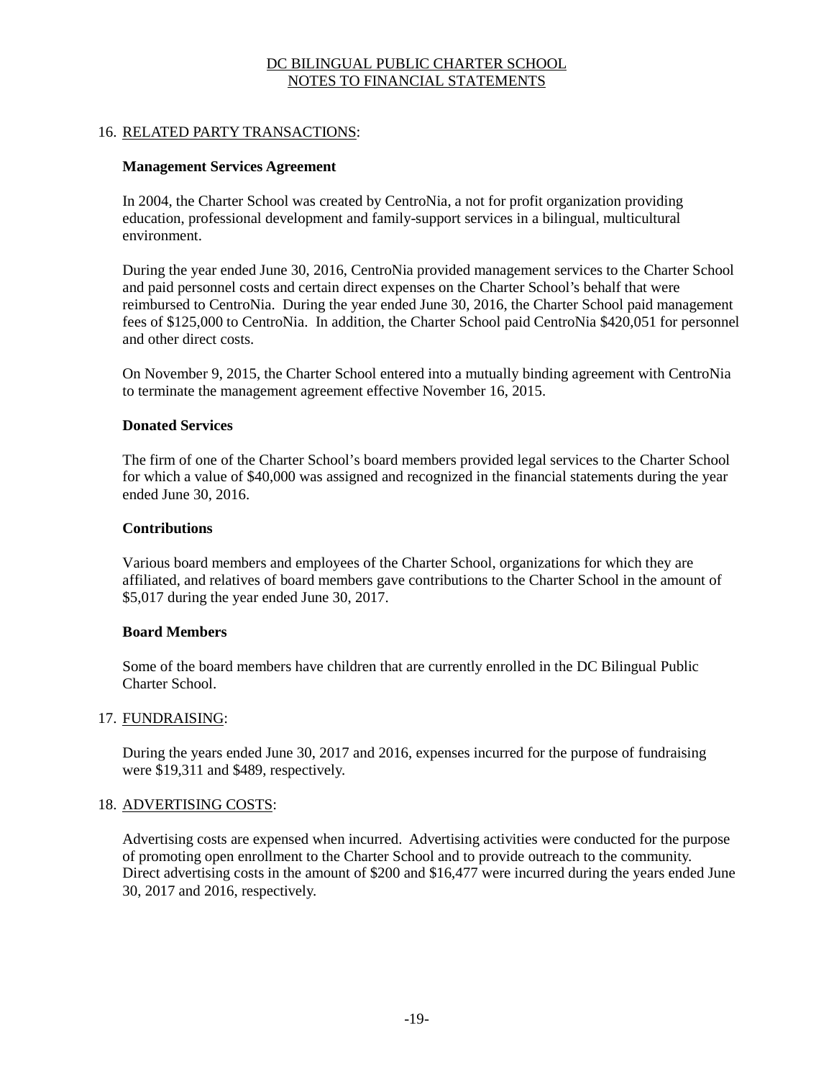### 16. RELATED PARTY TRANSACTIONS:

#### **Management Services Agreement**

In 2004, the Charter School was created by CentroNia, a not for profit organization providing education, professional development and family-support services in a bilingual, multicultural environment.

During the year ended June 30, 2016, CentroNia provided management services to the Charter School and paid personnel costs and certain direct expenses on the Charter School's behalf that were reimbursed to CentroNia. During the year ended June 30, 2016, the Charter School paid management fees of \$125,000 to CentroNia. In addition, the Charter School paid CentroNia \$420,051 for personnel and other direct costs.

On November 9, 2015, the Charter School entered into a mutually binding agreement with CentroNia to terminate the management agreement effective November 16, 2015.

### **Donated Services**

The firm of one of the Charter School's board members provided legal services to the Charter School for which a value of \$40,000 was assigned and recognized in the financial statements during the year ended June 30, 2016.

### **Contributions**

Various board members and employees of the Charter School, organizations for which they are affiliated, and relatives of board members gave contributions to the Charter School in the amount of \$5,017 during the year ended June 30, 2017.

### **Board Members**

Some of the board members have children that are currently enrolled in the DC Bilingual Public Charter School.

#### 17. FUNDRAISING:

During the years ended June 30, 2017 and 2016, expenses incurred for the purpose of fundraising were \$19,311 and \$489, respectively.

### 18. ADVERTISING COSTS:

Advertising costs are expensed when incurred. Advertising activities were conducted for the purpose of promoting open enrollment to the Charter School and to provide outreach to the community. Direct advertising costs in the amount of \$200 and \$16,477 were incurred during the years ended June 30, 2017 and 2016, respectively.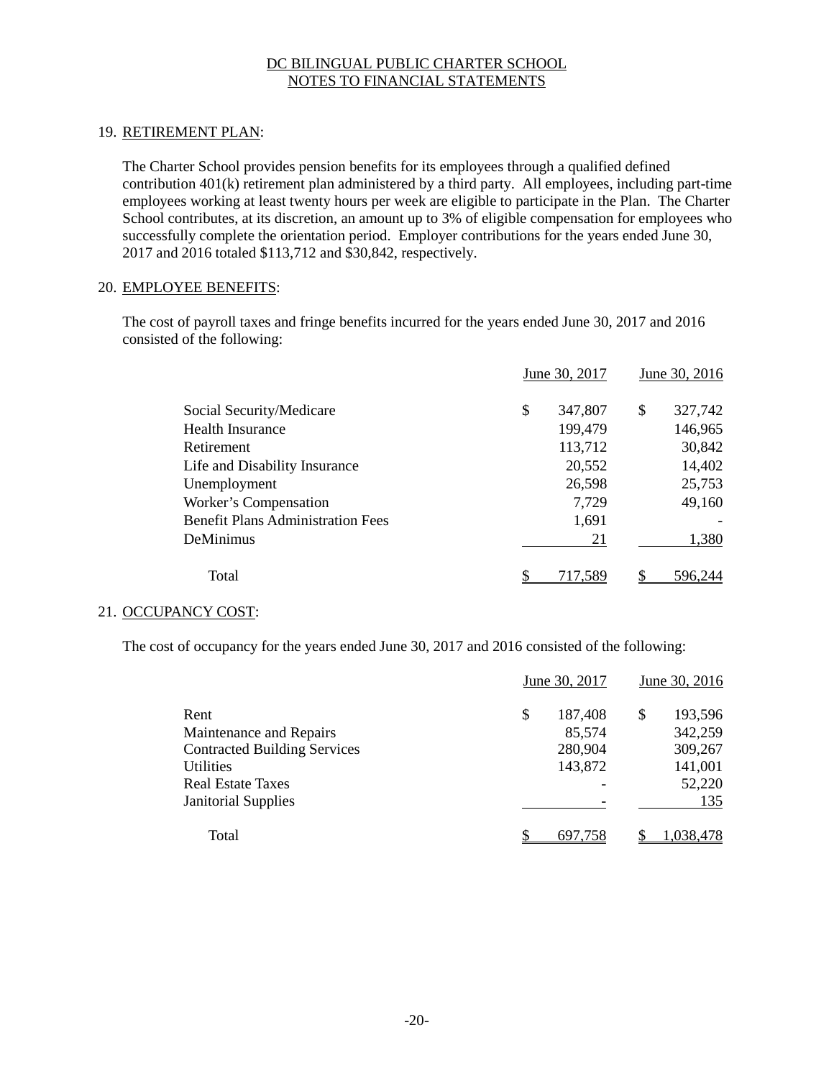### 19. RETIREMENT PLAN:

The Charter School provides pension benefits for its employees through a qualified defined contribution 401(k) retirement plan administered by a third party. All employees, including part-time employees working at least twenty hours per week are eligible to participate in the Plan. The Charter School contributes, at its discretion, an amount up to 3% of eligible compensation for employees who successfully complete the orientation period. Employer contributions for the years ended June 30, 2017 and 2016 totaled \$113,712 and \$30,842, respectively.

### 20. EMPLOYEE BENEFITS:

The cost of payroll taxes and fringe benefits incurred for the years ended June 30, 2017 and 2016 consisted of the following:

|                                          | June 30, 2017 | June 30, 2016 |
|------------------------------------------|---------------|---------------|
| Social Security/Medicare                 | \$<br>347,807 | \$<br>327,742 |
| Health Insurance                         | 199,479       | 146,965       |
| <b>Retirement</b>                        | 113,712       | 30,842        |
| Life and Disability Insurance            | 20,552        | 14,402        |
| Unemployment                             | 26,598        | 25,753        |
| Worker's Compensation                    | 7,729         | 49,160        |
| <b>Benefit Plans Administration Fees</b> | 1,691         |               |
| DeMinimus                                | 21            | 1,380         |
| Total                                    | 717.589       | 596.2         |

### 21. OCCUPANCY COST:

The cost of occupancy for the years ended June 30, 2017 and 2016 consisted of the following:

|                                     | June 30, 2017 | June 30, 2016 |  |  |
|-------------------------------------|---------------|---------------|--|--|
| Rent                                | \$<br>187,408 | \$<br>193,596 |  |  |
| Maintenance and Repairs             | 85,574        | 342,259       |  |  |
| <b>Contracted Building Services</b> | 280,904       | 309,267       |  |  |
| <b>Utilities</b>                    | 143,872       | 141,001       |  |  |
| <b>Real Estate Taxes</b>            |               | 52,220        |  |  |
| <b>Janitorial Supplies</b>          |               | 135           |  |  |
| Total                               | 697.758       | 1.038.478     |  |  |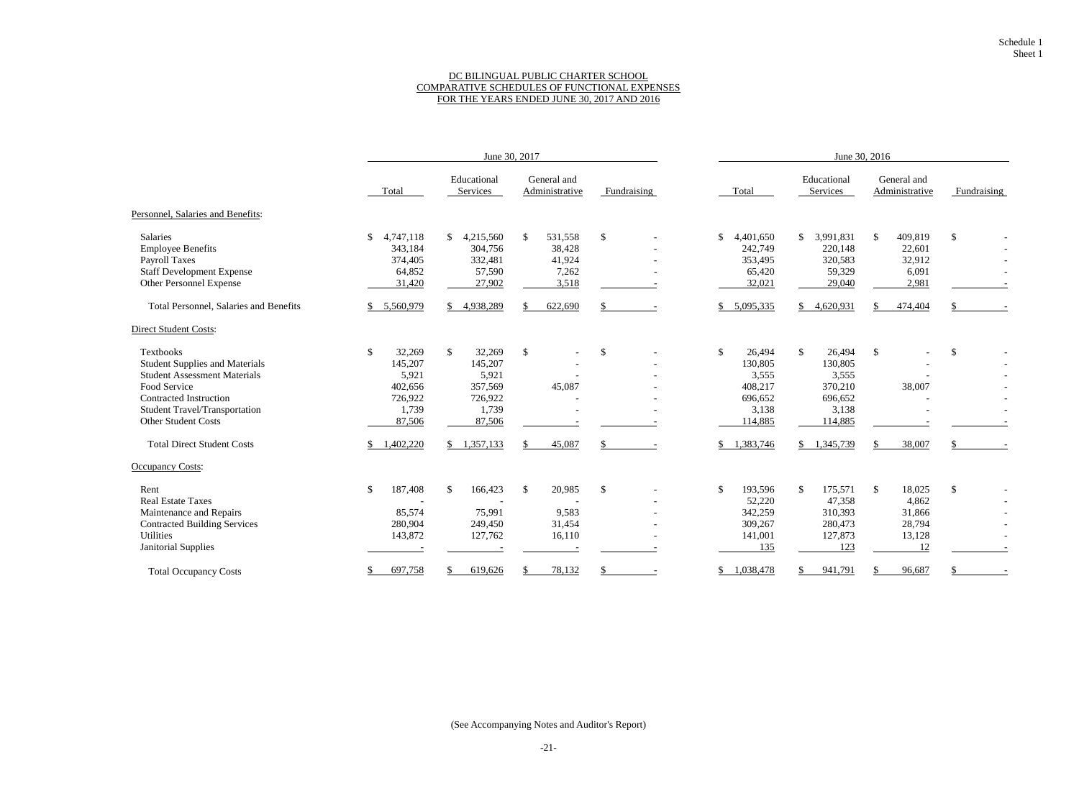#### DC BILINGUAL PUBLIC CHARTER SCHOOL COMPARATIVE SCHEDULES OF FUNCTIONAL EXPENSES FOR THE YEARS ENDED JUNE 30, 2017 AND 2016

|                                        | June 30, 2017             |                          |                               | June 30, 2016 |                  |                           |                               |             |
|----------------------------------------|---------------------------|--------------------------|-------------------------------|---------------|------------------|---------------------------|-------------------------------|-------------|
|                                        | Total                     | Educational<br>Services  | General and<br>Administrative | Fundraising   | Total            | Educational<br>Services   | General and<br>Administrative | Fundraising |
| Personnel, Salaries and Benefits:      |                           |                          |                               |               |                  |                           |                               |             |
| Salaries                               | 4,747,118<br>$\mathbb{S}$ | \$<br>4,215,560          | <sup>\$</sup><br>531,558      | $\mathbb{S}$  | 4,401,650<br>\$. | 3,991,831<br>$\mathbb{S}$ | 409,819<br><sup>\$</sup>      | \$          |
| <b>Employee Benefits</b>               | 343,184                   | 304,756                  | 38,428                        |               | 242,749          | 220,148                   | 22,601                        |             |
| <b>Payroll Taxes</b>                   | 374,405                   | 332,481                  | 41,924                        |               | 353,495          | 320,583                   | 32,912                        |             |
| <b>Staff Development Expense</b>       | 64,852                    | 57,590                   | 7,262                         |               | 65,420           | 59,329                    | 6,091                         |             |
| Other Personnel Expense                | 31,420                    | 27,902                   | 3,518                         |               | 32,021           | 29,040                    | 2,981                         |             |
| Total Personnel, Salaries and Benefits | 5,560,979                 | 4,938,289<br>\$.         | 622,690                       |               | 5,095,335        | 4,620,931                 | 474,404                       |             |
| <b>Direct Student Costs:</b>           |                           |                          |                               |               |                  |                           |                               |             |
| Textbooks                              | $\mathcal{S}$<br>32,269   | $\mathbb{S}$<br>32,269   | $\mathcal{S}$                 | $\mathbb{S}$  | \$<br>26,494     | $\mathbb{S}$<br>26,494    | $\mathcal{S}$                 | \$          |
| <b>Student Supplies and Materials</b>  | 145,207                   | 145,207                  |                               |               | 130,805          | 130,805                   |                               |             |
| <b>Student Assessment Materials</b>    | 5,921                     | 5,921                    |                               |               | 3,555            | 3,555                     |                               |             |
| Food Service                           | 402,656                   | 357,569                  | 45,087                        |               | 408,217          | 370,210                   | 38,007                        |             |
| Contracted Instruction                 | 726,922                   | 726,922                  |                               |               | 696,652          | 696,652                   |                               |             |
| <b>Student Travel/Transportation</b>   | 1,739                     | 1,739                    |                               |               | 3,138            | 3,138                     |                               |             |
| Other Student Costs                    | 87,506                    | 87,506                   |                               |               | 114,885          | 114,885                   |                               |             |
| <b>Total Direct Student Costs</b>      | 1,402,220                 | \$1,357,133              | 45,087                        |               | 1,383,746        | \$1,345,739               | 38,007                        |             |
| <b>Occupancy Costs:</b>                |                           |                          |                               |               |                  |                           |                               |             |
| Rent                                   | $\mathcal{S}$<br>187,408  | $\mathcal{S}$<br>166,423 | 20,985<br>$\mathcal{S}$       | \$            | \$<br>193,596    | 175,571<br>$\mathbb{S}$   | $\mathbb{S}$<br>18,025        | \$          |
| <b>Real Estate Taxes</b>               |                           |                          |                               |               | 52,220           | 47,358                    | 4,862                         |             |
| Maintenance and Repairs                | 85,574                    | 75,991                   | 9,583                         |               | 342,259          | 310,393                   | 31,866                        |             |
| <b>Contracted Building Services</b>    | 280,904                   | 249,450                  | 31,454                        |               | 309,267          | 280,473                   | 28,794                        |             |
| Utilities                              | 143,872                   | 127,762                  | 16,110                        |               | 141,001          | 127,873                   | 13,128                        |             |
| Janitorial Supplies                    |                           |                          |                               |               | 135              | 123                       | 12                            |             |
| <b>Total Occupancy Costs</b>           | 697,758                   | 619,626                  | 78,132                        |               | 1,038,478        | 941,791                   | 96,687                        |             |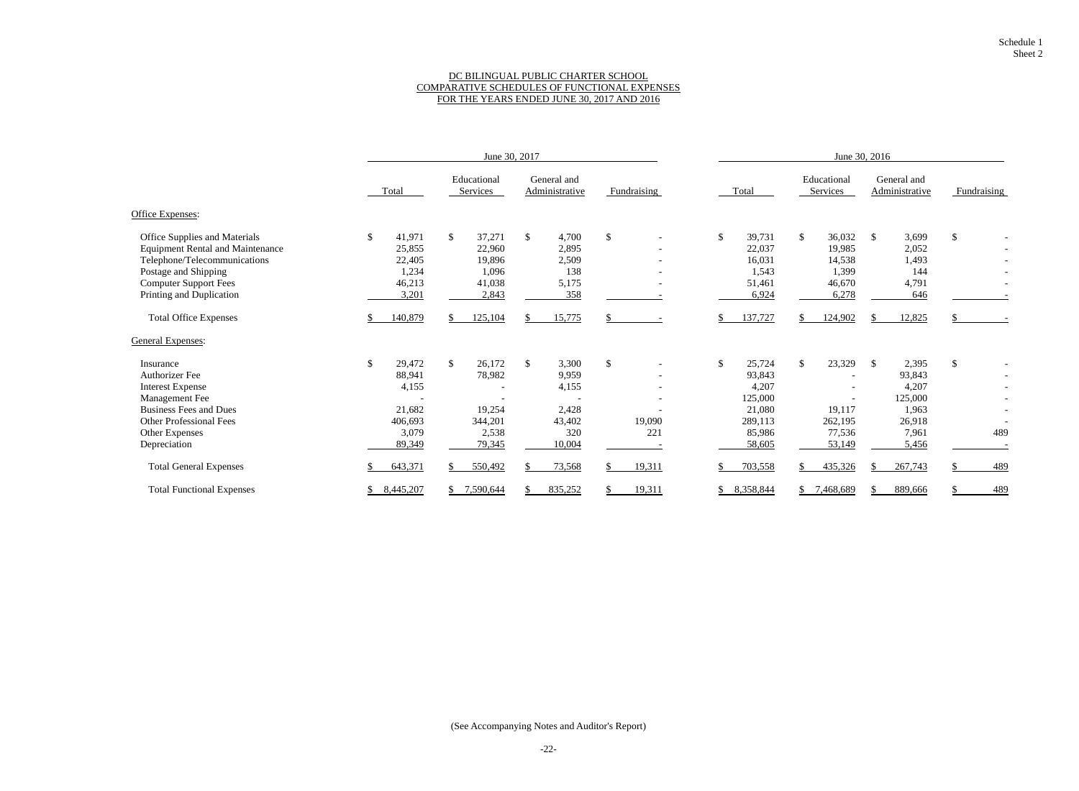#### DC BILINGUAL PUBLIC CHARTER SCHOOL COMPARATIVE SCHEDULES OF FUNCTIONAL EXPENSES FOR THE YEARS ENDED JUNE 30, 2017 AND 2016

|                                                                                                                                                                                                     | June 30, 2017                                                           |                                                                          |                                                                             | June 30, 2016                 |                                                                                     |                                                                                                                                                              |                      |
|-----------------------------------------------------------------------------------------------------------------------------------------------------------------------------------------------------|-------------------------------------------------------------------------|--------------------------------------------------------------------------|-----------------------------------------------------------------------------|-------------------------------|-------------------------------------------------------------------------------------|--------------------------------------------------------------------------------------------------------------------------------------------------------------|----------------------|
|                                                                                                                                                                                                     | Total                                                                   | Educational<br>Services                                                  | General and<br>Administrative                                               | Fundraising                   | Total                                                                               | Educational<br>General and<br>Services<br>Administrative                                                                                                     | Fundraising          |
| Office Expenses:                                                                                                                                                                                    |                                                                         |                                                                          |                                                                             |                               |                                                                                     |                                                                                                                                                              |                      |
| <b>Office Supplies and Materials</b><br><b>Equipment Rental and Maintenance</b><br>Telephone/Telecommunications<br>Postage and Shipping<br><b>Computer Support Fees</b><br>Printing and Duplication | $\mathbb{S}$<br>41,971<br>25,855<br>22,405<br>1,234<br>46,213<br>3,201  | $\mathbb{S}$<br>37,271<br>22,960<br>19,896<br>1,096<br>41,038<br>2,843   | $\mathbb{S}$<br>4,700<br>2,895<br>2,509<br>138<br>5,175<br>358              | $\mathbb{S}$                  | $\frac{1}{2}$<br>39,731<br>22,037<br>16,031<br>1,543<br>51,461<br>6,924             | $\mathcal{S}$<br>36,032<br>$\mathbb{S}$<br>3,699<br>2,052<br>19,985<br>1,493<br>14,538<br>1,399<br>144<br>4,791<br>46,670<br>6,278<br>646                    | $\mathbb{S}$         |
| <b>Total Office Expenses</b>                                                                                                                                                                        | 140,879                                                                 | 125,104<br>\$.                                                           | 15,775                                                                      |                               | 137,727                                                                             | 124,902<br>12,825<br>\$.                                                                                                                                     |                      |
| General Expenses:                                                                                                                                                                                   |                                                                         |                                                                          |                                                                             |                               |                                                                                     |                                                                                                                                                              |                      |
| Insurance<br><b>Authorizer Fee</b><br><b>Interest Expense</b><br>Management Fee<br><b>Business Fees and Dues</b><br><b>Other Professional Fees</b><br>Other Expenses<br>Depreciation                | \$<br>29,472<br>88,941<br>4,155<br>21,682<br>406,693<br>3,079<br>89,349 | $\mathbb{S}$<br>26,172<br>78,982<br>19,254<br>344,201<br>2,538<br>79,345 | $\mathbb{S}$<br>3,300<br>9,959<br>4,155<br>2,428<br>43,402<br>320<br>10,004 | $\mathbb{S}$<br>19,090<br>221 | \$<br>25,724<br>93,843<br>4,207<br>125,000<br>21,080<br>289,113<br>85,986<br>58,605 | $\mathbb{S}$<br>23,329<br>$\mathcal{S}$<br>2,395<br>93,843<br>4,207<br>125,000<br>1,963<br>19,117<br>262,195<br>26,918<br>7,961<br>77,536<br>53,149<br>5,456 | $\mathcal{L}$<br>489 |
| <b>Total General Expenses</b>                                                                                                                                                                       | 643,371                                                                 | 550,492<br>\$.                                                           | 73,568                                                                      | $\mathbb{S}$<br>19,311        | 703,558                                                                             | 435,326<br>267,743<br>\$<br>æ,                                                                                                                               | 489                  |
| <b>Total Functional Expenses</b>                                                                                                                                                                    | 8,445,207                                                               | 7,590,644<br>S.                                                          | 835,252                                                                     | 19,311                        | 8,358,844                                                                           | 7,468,689<br>889,666<br>\$                                                                                                                                   | 489                  |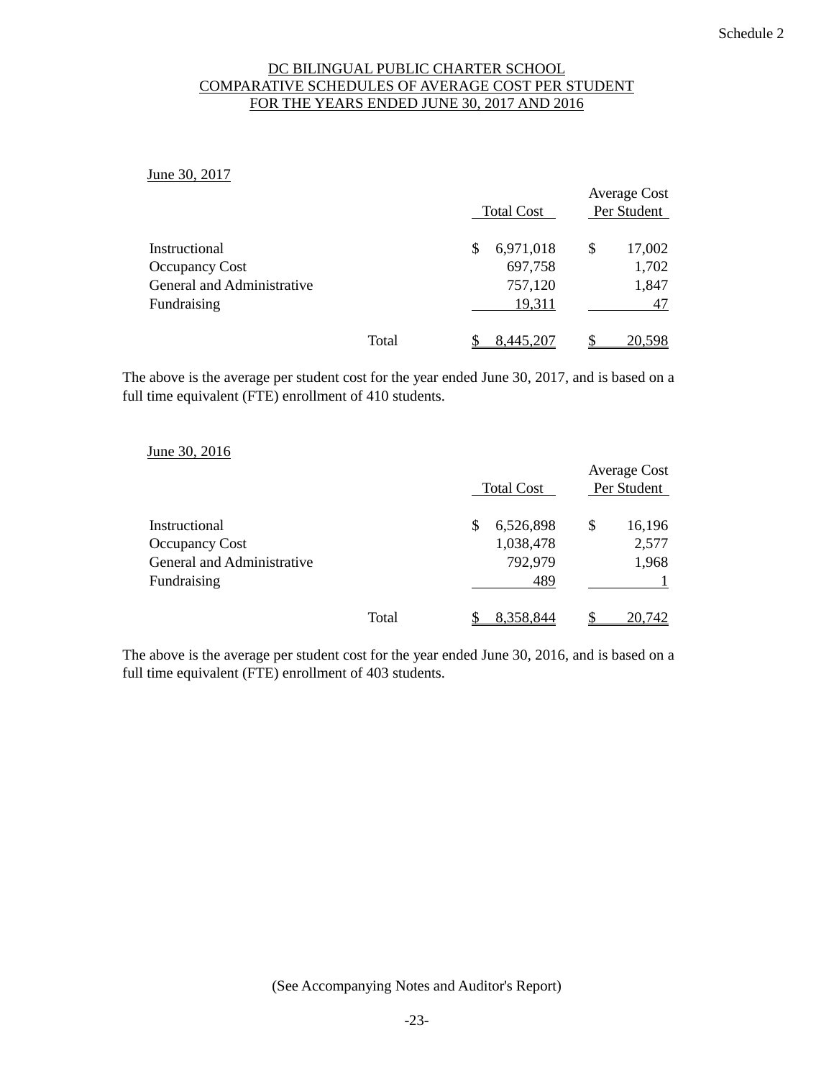### DC BILINGUAL PUBLIC CHARTER SCHOOL COMPARATIVE SCHEDULES OF AVERAGE COST PER STUDENT FOR THE YEARS ENDED JUNE 30, 2017 AND 2016

#### June 30, 2017

|                            |       |   | <b>Total Cost</b> | <b>Average Cost</b><br>Per Student |
|----------------------------|-------|---|-------------------|------------------------------------|
| Instructional              |       | S | 6,971,018         | \$<br>17,002                       |
| <b>Occupancy Cost</b>      |       |   | 697,758           | 1,702                              |
| General and Administrative |       |   | 757,120           | 1,847                              |
| Fundraising                |       |   | 19,311            | 47                                 |
|                            | Total |   | 8,445,207         | 20.598                             |

The above is the average per student cost for the year ended June 30, 2017, and is based on a full time equivalent (FTE) enrollment of 410 students.

#### June 30, 2016

|                            |       |   | <b>Total Cost</b> | <b>Average Cost</b><br>Per Student |
|----------------------------|-------|---|-------------------|------------------------------------|
| Instructional              |       | S | 6,526,898         | \$<br>16,196                       |
| <b>Occupancy Cost</b>      |       |   | 1,038,478         | 2,577                              |
| General and Administrative |       |   | 792,979           | 1,968                              |
| Fundraising                |       |   | 489               |                                    |
|                            | Total |   | 8.358,844         | 20.742                             |

The above is the average per student cost for the year ended June 30, 2016, and is based on a full time equivalent (FTE) enrollment of 403 students.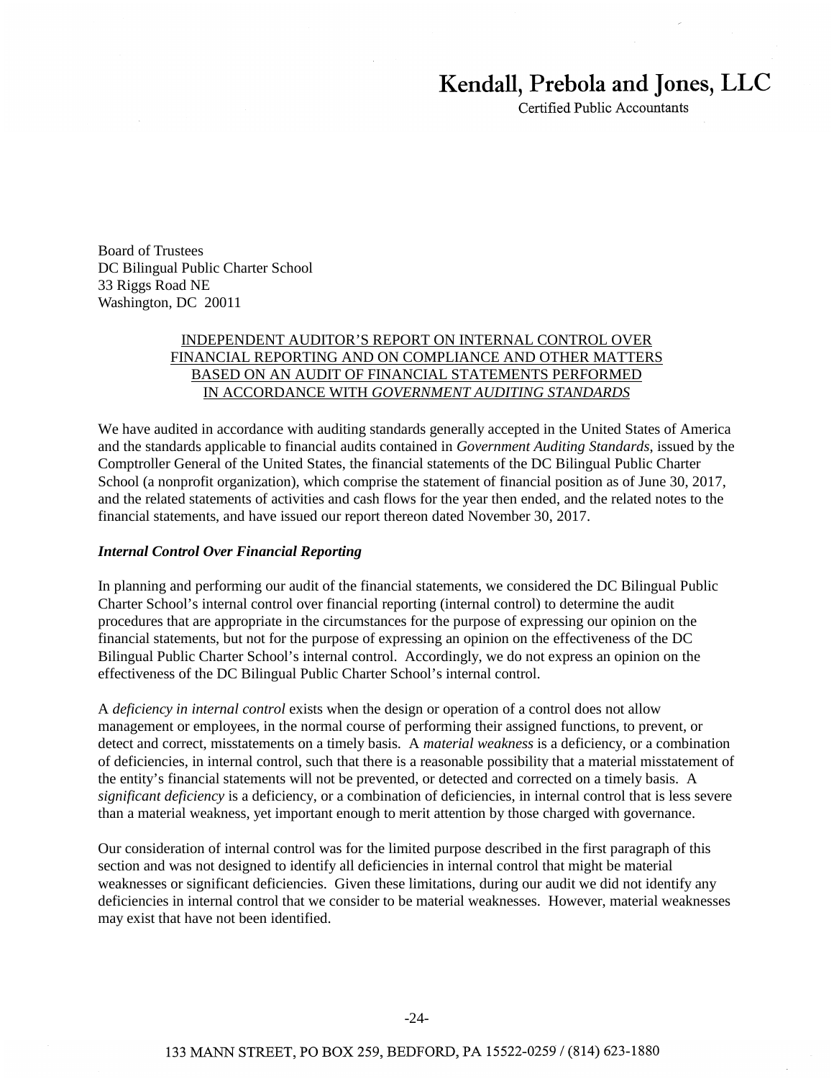# Kendall, Prebola and Jones, LLC

Certified Public Accountants

Board of Trustees DC Bilingual Public Charter School 33 Riggs Road NE Washington, DC 20011

### INDEPENDENT AUDITOR'S REPORT ON INTERNAL CONTROL OVER FINANCIAL REPORTING AND ON COMPLIANCE AND OTHER MATTERS BASED ON AN AUDIT OF FINANCIAL STATEMENTS PERFORMED IN ACCORDANCE WITH *GOVERNMENT AUDITING STANDARDS*

We have audited in accordance with auditing standards generally accepted in the United States of America and the standards applicable to financial audits contained in *Government Auditing Standards*, issued by the Comptroller General of the United States, the financial statements of the DC Bilingual Public Charter School (a nonprofit organization), which comprise the statement of financial position as of June 30, 2017, and the related statements of activities and cash flows for the year then ended, and the related notes to the financial statements, and have issued our report thereon dated November 30, 2017.

#### *Internal Control Over Financial Reporting*

In planning and performing our audit of the financial statements, we considered the DC Bilingual Public Charter School's internal control over financial reporting (internal control) to determine the audit procedures that are appropriate in the circumstances for the purpose of expressing our opinion on the financial statements, but not for the purpose of expressing an opinion on the effectiveness of the DC Bilingual Public Charter School's internal control. Accordingly, we do not express an opinion on the effectiveness of the DC Bilingual Public Charter School's internal control.

A *deficiency in internal control* exists when the design or operation of a control does not allow management or employees, in the normal course of performing their assigned functions, to prevent, or detect and correct, misstatements on a timely basis. A *material weakness* is a deficiency, or a combination of deficiencies, in internal control, such that there is a reasonable possibility that a material misstatement of the entity's financial statements will not be prevented, or detected and corrected on a timely basis. A *significant deficiency* is a deficiency, or a combination of deficiencies, in internal control that is less severe than a material weakness, yet important enough to merit attention by those charged with governance.

Our consideration of internal control was for the limited purpose described in the first paragraph of this section and was not designed to identify all deficiencies in internal control that might be material weaknesses or significant deficiencies. Given these limitations, during our audit we did not identify any deficiencies in internal control that we consider to be material weaknesses. However, material weaknesses may exist that have not been identified.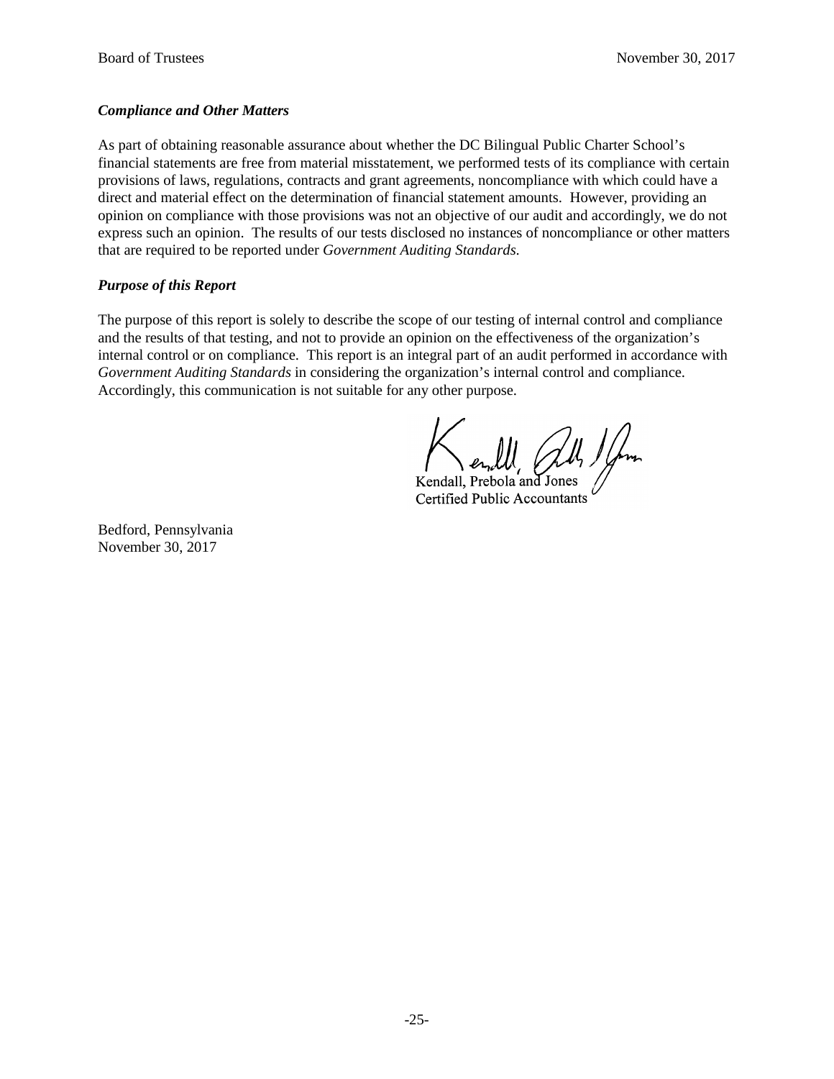### *Compliance and Other Matters*

As part of obtaining reasonable assurance about whether the DC Bilingual Public Charter School's financial statements are free from material misstatement, we performed tests of its compliance with certain provisions of laws, regulations, contracts and grant agreements, noncompliance with which could have a direct and material effect on the determination of financial statement amounts. However, providing an opinion on compliance with those provisions was not an objective of our audit and accordingly, we do not express such an opinion. The results of our tests disclosed no instances of noncompliance or other matters that are required to be reported under *Government Auditing Standards*.

### *Purpose of this Report*

The purpose of this report is solely to describe the scope of our testing of internal control and compliance and the results of that testing, and not to provide an opinion on the effectiveness of the organization's internal control or on compliance. This report is an integral part of an audit performed in accordance with *Government Auditing Standards* in considering the organization's internal control and compliance. Accordingly, this communication is not suitable for any other purpose.

Kendall, Prebola and Jones Certified Public Accountants

Bedford, Pennsylvania November 30, 2017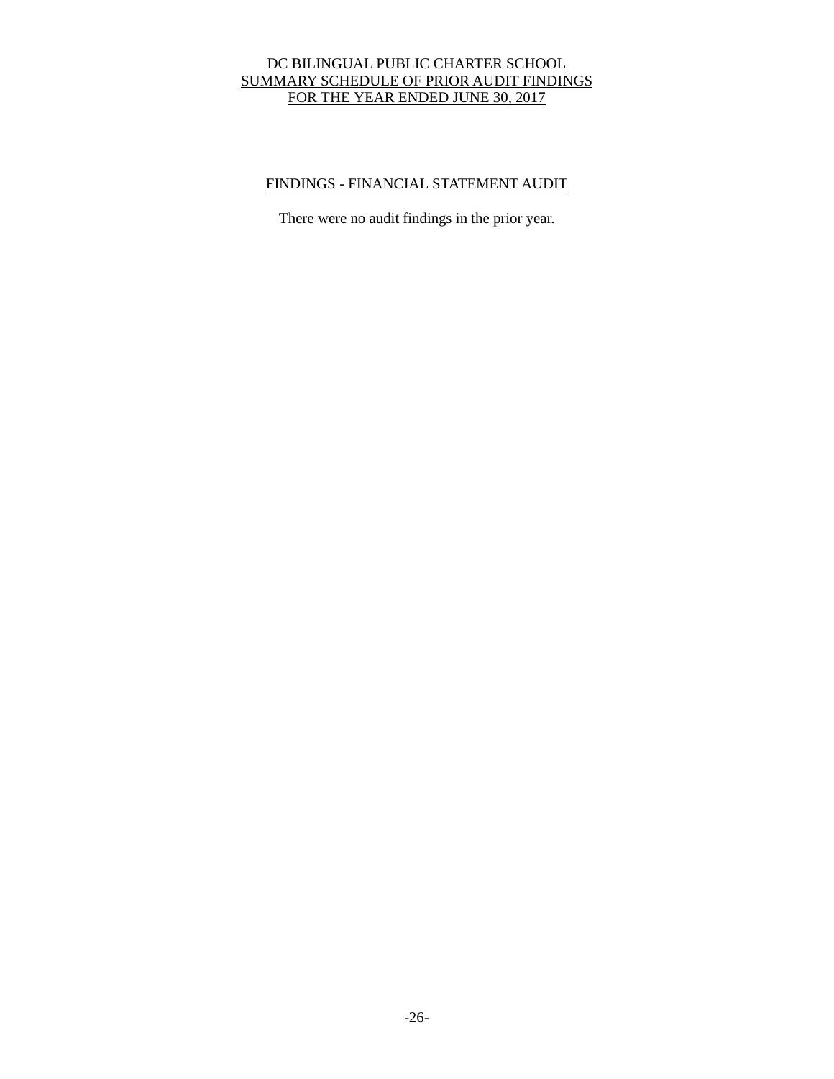# DC BILINGUAL PUBLIC CHARTER SCHOOL SUMMARY SCHEDULE OF PRIOR AUDIT FINDINGS FOR THE YEAR ENDED JUNE 30, 2017

# FINDINGS - FINANCIAL STATEMENT AUDIT

There were no audit findings in the prior year.